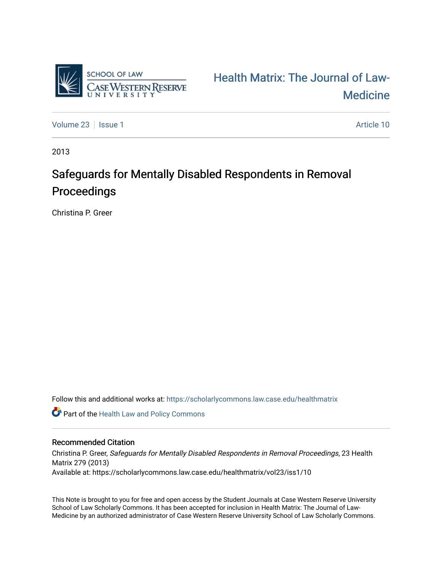

[Health Matrix: The Journal of Law-](https://scholarlycommons.law.case.edu/healthmatrix)**Medicine** 

[Volume 23](https://scholarlycommons.law.case.edu/healthmatrix/vol23) | [Issue 1](https://scholarlycommons.law.case.edu/healthmatrix/vol23/iss1) Article 10

2013

# Safeguards for Mentally Disabled Respondents in Removal Proceedings

Christina P. Greer

Follow this and additional works at: [https://scholarlycommons.law.case.edu/healthmatrix](https://scholarlycommons.law.case.edu/healthmatrix?utm_source=scholarlycommons.law.case.edu%2Fhealthmatrix%2Fvol23%2Fiss1%2F10&utm_medium=PDF&utm_campaign=PDFCoverPages) 

**Part of the Health Law and Policy Commons** 

## Recommended Citation

Christina P. Greer, Safeguards for Mentally Disabled Respondents in Removal Proceedings, 23 Health Matrix 279 (2013) Available at: https://scholarlycommons.law.case.edu/healthmatrix/vol23/iss1/10

This Note is brought to you for free and open access by the Student Journals at Case Western Reserve University School of Law Scholarly Commons. It has been accepted for inclusion in Health Matrix: The Journal of Law-Medicine by an authorized administrator of Case Western Reserve University School of Law Scholarly Commons.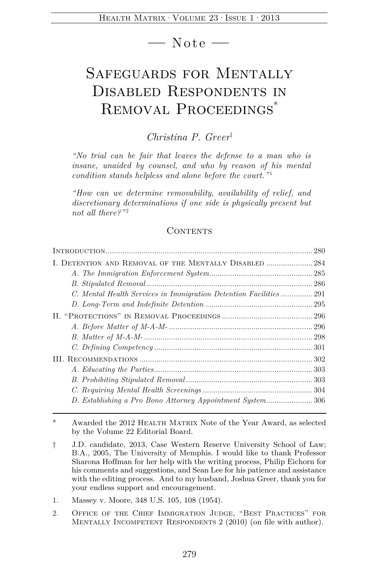**—** Note **—** 

## Safeguards for Mentally Disabled Respondents in Removal Proceedings\*

## *Christina P. Greer*†

*"No trial can be fair that leaves the defense to a man who is insane, unaided by counsel, and who by reason of his mental condition stands helpless and alone before the court.*"<sup>1</sup>

*"How can we determine removability, availability of relief, and discretionary determinations if one side is physically present but*  not all there?"<sup>2</sup>

## CONTENTS

|                                                                    | 280 |
|--------------------------------------------------------------------|-----|
| I. DETENTION AND REMOVAL OF THE MENTALLY DISABLED  284             |     |
|                                                                    |     |
|                                                                    |     |
| C. Mental Health Services in Immigration Detention Facilities  291 |     |
|                                                                    |     |
|                                                                    |     |
|                                                                    |     |
|                                                                    |     |
|                                                                    |     |
|                                                                    |     |
|                                                                    |     |
|                                                                    |     |
|                                                                    |     |
| D. Establishing a Pro Bono Attorney Appointment System306          |     |
|                                                                    |     |

2. Office of the Chief Immigration Judge, "Best Practices" for MENTALLY INCOMPETENT RESPONDENTS 2 (2010) (on file with author).

Awarded the 2012 HEALTH MATRIX Note of the Year Award, as selected by the Volume 22 Editorial Board.

<sup>†</sup> J.D. candidate, 2013, Case Western Reserve University School of Law; B.A., 2005, The University of Memphis. I would like to thank Professor Sharona Hoffman for her help with the writing process, Philip Eichorn for his comments and suggestions, and Sean Lee for his patience and assistance with the editing process. And to my husband, Joshua Greer, thank you for your endless support and encouragement.

<sup>1.</sup> Massey v. Moore, 348 U.S. 105, 108 (1954).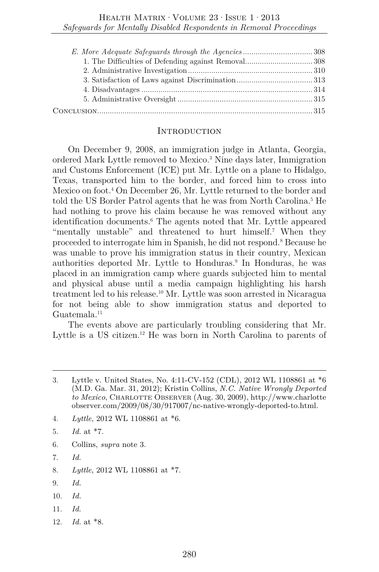#### **INTRODUCTION**

On December 9, 2008, an immigration judge in Atlanta, Georgia, ordered Mark Lyttle removed to Mexico.3 Nine days later, Immigration and Customs Enforcement (ICE) put Mr. Lyttle on a plane to Hidalgo, Texas, transported him to the border, and forced him to cross into Mexico on foot.4 On December 26, Mr. Lyttle returned to the border and told the US Border Patrol agents that he was from North Carolina.5 He had nothing to prove his claim because he was removed without any identification documents.6 The agents noted that Mr. Lyttle appeared "mentally unstable" and threatened to hurt himself.<sup>7</sup> When they proceeded to interrogate him in Spanish, he did not respond.8 Because he was unable to prove his immigration status in their country, Mexican authorities deported Mr. Lyttle to Honduras.<sup>9</sup> In Honduras, he was placed in an immigration camp where guards subjected him to mental and physical abuse until a media campaign highlighting his harsh treatment led to his release.<sup>10</sup> Mr. Lyttle was soon arrested in Nicaragua for not being able to show immigration status and deported to Guatemala.11

The events above are particularly troubling considering that Mr. Lyttle is a US citizen.<sup>12</sup> He was born in North Carolina to parents of

- 4. *Lyttle*, 2012 WL 1108861 at \*6.
- 5. *Id.* at \*7.
- 6. Collins, *supra* note 3.
- 7. *Id.*
- 8. *Lyttle*, 2012 WL 1108861 at \*7.
- 9. *Id.*
- 10. *Id.*
- 11. *Id.*
- 12. *Id.* at \*8.

<sup>3.</sup> Lyttle v. United States, No. 4:11-CV-152 (CDL), 2012 WL 1108861 at \*6 (M.D. Ga. Mar. 31, 2012); Kristin Collins, *N.C. Native Wrongly Deported to Mexico*, Charlotte Observer (Aug. 30, 2009), http://www.charlotte observer.com/2009/08/30/917007/nc-native-wrongly-deported-to.html.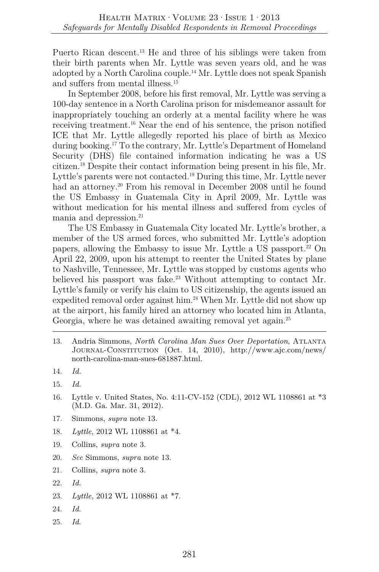Puerto Rican descent.<sup>13</sup> He and three of his siblings were taken from their birth parents when Mr. Lyttle was seven years old, and he was adopted by a North Carolina couple.14 Mr. Lyttle does not speak Spanish and suffers from mental illness.15

In September 2008, before his first removal, Mr. Lyttle was serving a 100-day sentence in a North Carolina prison for misdemeanor assault for inappropriately touching an orderly at a mental facility where he was receiving treatment.16 Near the end of his sentence, the prison notified ICE that Mr. Lyttle allegedly reported his place of birth as Mexico during booking.17 To the contrary, Mr. Lyttle's Department of Homeland Security (DHS) file contained information indicating he was a US citizen.18 Despite their contact information being present in his file, Mr. Lyttle's parents were not contacted.19 During this time, Mr. Lyttle never had an attorney.<sup>20</sup> From his removal in December 2008 until he found the US Embassy in Guatemala City in April 2009, Mr. Lyttle was without medication for his mental illness and suffered from cycles of mania and depression.<sup>21</sup>

The US Embassy in Guatemala City located Mr. Lyttle's brother, a member of the US armed forces, who submitted Mr. Lyttle's adoption papers, allowing the Embassy to issue Mr. Lyttle a US passport.<sup>22</sup> On April 22, 2009, upon his attempt to reenter the United States by plane to Nashville, Tennessee, Mr. Lyttle was stopped by customs agents who believed his passport was fake.<sup>23</sup> Without attempting to contact Mr. Lyttle's family or verify his claim to US citizenship, the agents issued an expedited removal order against him.<sup>24</sup> When Mr. Lyttle did not show up at the airport, his family hired an attorney who located him in Atlanta, Georgia, where he was detained awaiting removal yet again.<sup>25</sup>

- 16. Lyttle v. United States, No. 4:11-CV-152 (CDL), 2012 WL 1108861 at \*3 (M.D. Ga. Mar. 31, 2012).
- 17. Simmons, *supra* note 13.
- 18. *Lyttle*, 2012 WL 1108861 at \*4.
- 19. Collins, *supra* note 3.
- 20. *See* Simmons, *supra* note 13.
- 21. Collins, *supra* note 3.
- 22. *Id.*
- 23. *Lyttle*, 2012 WL 1108861 at \*7.
- 24. *Id*.
- 25. *Id*.

<sup>13.</sup> Andria Simmons, *North Carolina Man Sues Over Deportation*, Atlanta Journal-Constitution (Oct. 14, 2010), http://www.ajc.com/news/ north-carolina-man-sues-681887.html.

<sup>14.</sup> *Id.*

<sup>15.</sup> *Id.*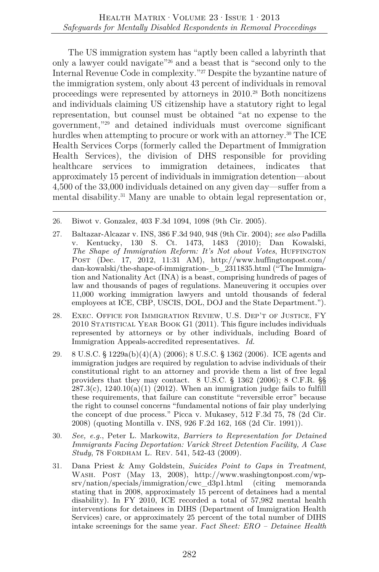The US immigration system has "aptly been called a labyrinth that only a lawyer could navigate"26 and a beast that is "second only to the Internal Revenue Code in complexity."27 Despite the byzantine nature of the immigration system, only about 43 percent of individuals in removal proceedings were represented by attorneys in 2010.28 Both noncitizens and individuals claiming US citizenship have a statutory right to legal representation, but counsel must be obtained "at no expense to the government,"29 and detained individuals must overcome significant hurdles when attempting to procure or work with an attorney.<sup>30</sup> The ICE Health Services Corps (formerly called the Department of Immigration Health Services), the division of DHS responsible for providing healthcare services to immigration detainees, indicates that approximately 15 percent of individuals in immigration detention—about 4,500 of the 33,000 individuals detained on any given day—suffer from a mental disability.<sup>31</sup> Many are unable to obtain legal representation or,

- 27. Baltazar-Alcazar v. INS, 386 F.3d 940, 948 (9th Cir. 2004); *see also* Padilla v. Kentucky, 130 S. Ct. 1473, 1483 (2010); Dan Kowalski, *The Shape of Immigration Reform: It's Not about Votes*, HUFFINGTON Post (Dec. 17, 2012, 11:31 AM), http://www.huffingtonpost.com/ dan-kowalski/the-shape-of-immigration-\_b\_2311835.html ("The Immigration and Nationality Act (INA) is a beast, comprising hundreds of pages of law and thousands of pages of regulations. Maneuvering it occupies over 11,000 working immigration lawyers and untold thousands of federal employees at ICE, CBP, USCIS, DOL, DOJ and the State Department.").
- 28. Exec. Office for Immigration Review, U.S. Dep't of Justice, FY 2010 Statistical Year Book G1 (2011). This figure includes individuals represented by attorneys or by other individuals, including Board of Immigration Appeals-accredited representatives. *Id.*
- 29. 8 U.S.C. § 1229a(b)(4)(A) (2006); 8 U.S.C. § 1362 (2006). ICE agents and immigration judges are required by regulation to advise individuals of their constitutional right to an attorney and provide them a list of free legal providers that they may contact. 8 U.S.C. § 1362 (2006); 8 C.F.R. §§  $287.3(c)$ ,  $1240.10(a)(1)$  (2012). When an immigration judge fails to fulfill these requirements, that failure can constitute "reversible error" because the right to counsel concerns "fundamental notions of fair play underlying the concept of due process." Picca v. Mukasey, 512 F.3d 75, 78 (2d Cir. 2008) (quoting Montilla v. INS, 926 F.2d 162, 168 (2d Cir. 1991)).
- 30. *See, e.g.*, Peter L. Markowitz, *Barriers to Representation for Detained Immigrants Facing Deportation: Varick Street Detention Facility, A Case Study*, 78 Fordham L. Rev. 541, 542-43 (2009).
- 31. Dana Priest & Amy Goldstein, *Suicides Point to Gaps in Treatment*, Wash. Post (May 13, 2008), http://www.washingtonpost.com/wpsrv/nation/specials/immigration/cwc\_d3p1.html (citing memoranda stating that in 2008, approximately 15 percent of detainees had a mental disability). In FY 2010, ICE recorded a total of 57,982 mental health interventions for detainees in DIHS (Department of Immigration Health Services) care, or approximately 25 percent of the total number of DIHS intake screenings for the same year. *Fact Sheet: ERO – Detainee Health*

<sup>26.</sup> Biwot v. Gonzalez, 403 F.3d 1094, 1098 (9th Cir. 2005).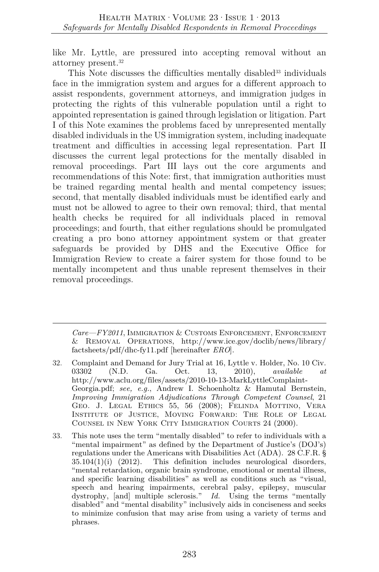like Mr. Lyttle, are pressured into accepting removal without an attorney present.32

This Note discusses the difficulties mentally disabled<sup>33</sup> individuals face in the immigration system and argues for a different approach to assist respondents, government attorneys, and immigration judges in protecting the rights of this vulnerable population until a right to appointed representation is gained through legislation or litigation. Part I of this Note examines the problems faced by unrepresented mentally disabled individuals in the US immigration system, including inadequate treatment and difficulties in accessing legal representation. Part II discusses the current legal protections for the mentally disabled in removal proceedings. Part III lays out the core arguments and recommendations of this Note: first, that immigration authorities must be trained regarding mental health and mental competency issues; second, that mentally disabled individuals must be identified early and must not be allowed to agree to their own removal; third, that mental health checks be required for all individuals placed in removal proceedings; and fourth, that either regulations should be promulgated creating a pro bono attorney appointment system or that greater safeguards be provided by DHS and the Executive Office for Immigration Review to create a fairer system for those found to be mentally incompetent and thus unable represent themselves in their removal proceedings.

*Care—FY2011*, Immigration & Customs Enforcement, Enforcement & Removal Operations, http://www.ice.gov/doclib/news/library/ factsheets/pdf/dhc-fy11.pdf [hereinafter *ERO*].

- 32. Complaint and Demand for Jury Trial at 16, Lyttle v. Holder, No. 10 Civ. 03302 (N.D. Ga. Oct. 13, 2010), *available at*  http://www.aclu.org/files/assets/2010-10-13-MarkLyttleComplaint-Georgia.pdf; *see, e.g.*, Andrew I. Schoenholtz & Hamutal Bernstein, *Improving Immigration Adjudications Through Competent Counsel*, 21 Geo. J. Legal Ethics 55, 56 (2008); Felinda Mottino, Vera Institute of Justice, Moving Forward: The Role of Legal Counsel in New York City Immigration Courts 24 (2000).
- 33. This note uses the term "mentally disabled" to refer to individuals with a "mental impairment" as defined by the Department of Justice's (DOJ's) regulations under the Americans with Disabilities Act (ADA). 28 C.F.R. §  $35.104(1)(i)$   $(2012)$ . This definition includes neurological disorders, "mental retardation, organic brain syndrome, emotional or mental illness, and specific learning disabilities" as well as conditions such as "visual, speech and hearing impairments, cerebral palsy, epilepsy, muscular dystrophy, [and] multiple sclerosis." *Id.* Using the terms "mentally disabled" and "mental disability" inclusively aids in conciseness and seeks to minimize confusion that may arise from using a variety of terms and phrases.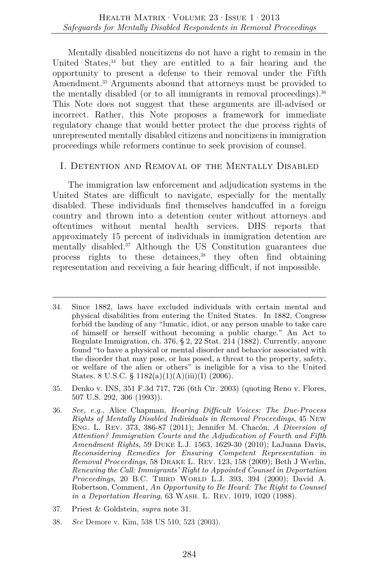Mentally disabled noncitizens do not have a right to remain in the United States,<sup>34</sup> but they are entitled to a fair hearing and the opportunity to present a defense to their removal under the Fifth Amendment.<sup>35</sup> Arguments abound that attorneys must be provided to the mentally disabled (or to all immigrants in removal proceedings).  $36$ This Note does not suggest that these arguments are ill-advised or incorrect. Rather, this Note proposes a framework for immediate regulatory change that would better protect the due process rights of unrepresented mentally disabled citizens and noncitizens in immigration proceedings while reformers continue to seek provision of counsel.

## I. Detention and Removal of the Mentally Disabled

The immigration law enforcement and adjudication systems in the United States are difficult to navigate, especially for the mentally disabled. These individuals find themselves handcuffed in a foreign country and thrown into a detention center without attorneys and oftentimes without mental health services. DHS reports that approximately 15 percent of individuals in immigration detention are mentally disabled.37 Although the US Constitution guarantees due process rights to these detainees,<sup>38</sup> they often find obtaining representation and receiving a fair hearing difficult, if not impossible.

- 35. Denko v. INS, 351 F.3d 717, 726 (6th Cir. 2003) (quoting Reno v. Flores, 507 U.S. 292, 306 (1993)).
- 36. *See, e.g.*, Alice Chapman, *Hearing Difficult Voices: The Due-Process Rights of Mentally Disabled Individuals in Removal Proceedings*, 45 New Eng. L. Rev. 373, 386-87 (2011); Jennifer M. Chacón, *A Diversion of Attention? Immigration Courts and the Adjudication of Fourth and Fifth Amendment Rights*, 59 Duke L.J. 1563, 1629-30 (2010); LaJuana Davis, *Reconsidering Remedies for Ensuring Competent Representation in Removal Proceedings*, 58 Drake L. Rev. 123, 158 (2009); Beth J Werlin, *Renewing the Call: Immigrants' Right to Appointed Counsel in Deportation Proceedings*, 20 B.C. THIRD WORLD L.J. 393, 394 (2000); David A. Robertson, Comment, *An Opportunity to Be Heard: The Right to Counsel in a Deportation Hearing*, 63 Wash. L. Rev. 1019, 1020 (1988).
- 37. Priest & Goldstein, *supra* note 31.
- 38. *See* Demore v. Kim, 538 US 510, 523 (2003).

<sup>34.</sup> Since 1882, laws have excluded individuals with certain mental and physical disabilities from entering the United States. In 1882, Congress forbid the landing of any "lunatic, idiot, or any person unable to take care of himself or herself without becoming a public charge." An Act to Regulate Immigration, ch. 376, § 2, 22 Stat. 214 (1882). Currently, anyone found "to have a physical or mental disorder and behavior associated with the disorder that may pose, or has posed, a threat to the property, safety, or welfare of the alien or others" is ineligible for a visa to the United States. 8 U.S.C. § 1182(a)(1)(A)(iii)(I) (2006).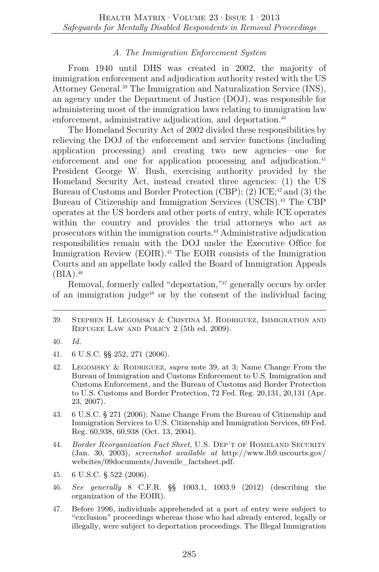## *A. The Immigration Enforcement System*

From 1940 until DHS was created in 2002, the majority of immigration enforcement and adjudication authority rested with the US Attorney General.39 The Immigration and Naturalization Service (INS), an agency under the Department of Justice (DOJ), was responsible for administering most of the immigration laws relating to immigration law enforcement, administrative adjudication, and deportation.<sup>40</sup>

The Homeland Security Act of 2002 divided these responsibilities by relieving the DOJ of the enforcement and service functions (including application processing) and creating two new agencies—one for enforcement and one for application processing and adjudication.<sup>41</sup> President George W. Bush, exercising authority provided by the Homeland Security Act, instead created three agencies: (1) the US Bureau of Customs and Border Protection (CBP); (2)  $ICE:^{42}$  and (3) the Bureau of Citizenship and Immigration Services (USCIS).43 The CBP operates at the US borders and other ports of entry, while ICE operates within the country and provides the trial attorneys who act as prosecutors within the immigration courts.44 Administrative adjudication responsibilities remain with the DOJ under the Executive Office for Immigration Review (EOIR).45 The EOIR consists of the Immigration Courts and an appellate body called the Board of Immigration Appeals  $(BIA).^{46}$ 

Removal, formerly called "deportation,"<sup>47</sup> generally occurs by order of an immigration judge<sup> $48$ </sup> or by the consent of the individual facing

39. Stephen H. Legomsky & Cristina M. Rodriguez, Immigration and Refugee Law and Policy 2 (5th ed. 2009).

- 41. 6 U.S.C. §§ 252, 271 (2006).
- 42. Legomsky & Rodriguez, *supra* note 39, at 3; Name Change From the Bureau of Immigration and Customs Enforcement to U.S. Immigration and Customs Enforcement, and the Bureau of Customs and Border Protection to U.S. Customs and Border Protection, 72 Fed. Reg. 20,131, 20,131 (Apr. 23, 2007).
- 43. 6 U.S.C. § 271 (2006); Name Change From the Bureau of Citizenship and Immigration Services to U.S. Citizenship and Immigration Services, 69 Fed. Reg. 60,938, 60,938 (Oct. 13, 2004).
- 44. *Border Reorganization Fact Sheet*, U.S. Dep't of Homeland Security (Jan. 30, 2003), *screenshot available at* http://www.lb9.uscourts.gov/ webcites/09documents/Juvenile\_factsheet.pdf.
- 45. 6 U.S.C. § 522 (2006).
- 46. *See generally* 8 C.F.R. §§ 1003.1, 1003.9 (2012) (describing the organization of the EOIR).
- 47. Before 1996, individuals apprehended at a port of entry were subject to "exclusion" proceedings whereas those who had already entered, legally or illegally, were subject to deportation proceedings. The Illegal Immigration

<sup>40.</sup> *Id.*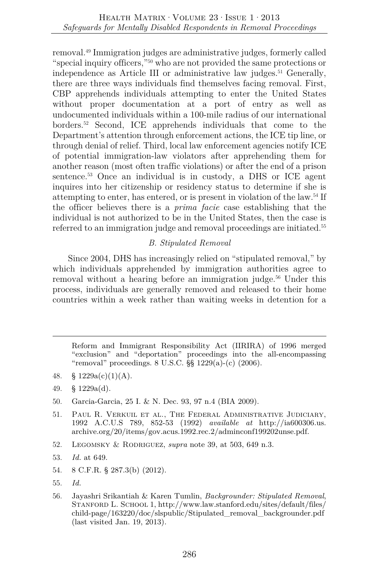removal.49 Immigration judges are administrative judges, formerly called "special inquiry officers,"50 who are not provided the same protections or independence as Article III or administrative law judges.<sup>51</sup> Generally, there are three ways individuals find themselves facing removal. First, CBP apprehends individuals attempting to enter the United States without proper documentation at a port of entry as well as undocumented individuals within a 100-mile radius of our international borders.52 Second, ICE apprehends individuals that come to the Department's attention through enforcement actions, the ICE tip line, or through denial of relief. Third, local law enforcement agencies notify ICE of potential immigration-law violators after apprehending them for another reason (most often traffic violations) or after the end of a prison sentence.53 Once an individual is in custody, a DHS or ICE agent inquires into her citizenship or residency status to determine if she is attempting to enter, has entered, or is present in violation of the law.54 If the officer believes there is a *prima facie* case establishing that the individual is not authorized to be in the United States, then the case is referred to an immigration judge and removal proceedings are initiated.<sup>55</sup>

## *B. Stipulated Removal*

Since 2004, DHS has increasingly relied on "stipulated removal," by which individuals apprehended by immigration authorities agree to removal without a hearing before an immigration judge.<sup>56</sup> Under this process, individuals are generally removed and released to their home countries within a week rather than waiting weeks in detention for a

Reform and Immigrant Responsibility Act (IIRIRA) of 1996 merged "exclusion" and "deportation" proceedings into the all-encompassing "removal" proceedings. 8 U.S.C. §§ 1229(a)-(c) (2006).

- 48. §  $1229a(c)(1)(A)$ .
- 49. § 1229a(d).
- 50. Garcia-Garcia, 25 I. & N. Dec. 93, 97 n.4 (BIA 2009).
- 51. Paul R. Verkuil et al., The Federal Administrative Judiciary, 1992 A.C.U.S 789, 852-53 (1992) *available at* http://ia600306.us. archive.org/20/items/gov.acus.1992.rec.2/adminconf199202unse.pdf.
- 52. Legomsky & Rodriguez, *supra* note 39, at 503, 649 n.3.
- 53. *Id.* at 649.
- 54. 8 C.F.R. § 287.3(b) (2012).
- 55. *Id.*
- 56. Jayashri Srikantiah & Karen Tumlin, *Backgrounder: Stipulated Removal*, STANFORD L. SCHOOL 1, http://www.law.stanford.edu/sites/default/files/ child-page/163220/doc/slspublic/Stipulated\_removal\_backgrounder.pdf (last visited Jan. 19, 2013).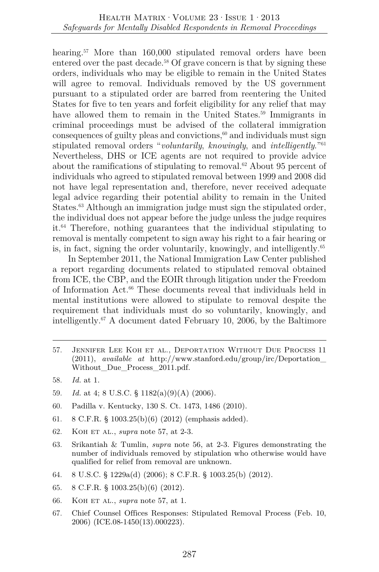hearing.<sup>57</sup> More than 160,000 stipulated removal orders have been entered over the past decade.<sup>58</sup> Of grave concern is that by signing these orders, individuals who may be eligible to remain in the United States will agree to removal. Individuals removed by the US government pursuant to a stipulated order are barred from reentering the United States for five to ten years and forfeit eligibility for any relief that may have allowed them to remain in the United States.<sup>59</sup> Immigrants in criminal proceedings must be advised of the collateral immigration consequences of guilty pleas and convictions, $60$  and individuals must sign stipulated removal orders "*voluntarily*, *knowingly*, and *intelligently*."61 Nevertheless, DHS or ICE agents are not required to provide advice about the ramifications of stipulating to removal.<sup>62</sup> About 95 percent of individuals who agreed to stipulated removal between 1999 and 2008 did not have legal representation and, therefore, never received adequate legal advice regarding their potential ability to remain in the United States.<sup>63</sup> Although an immigration judge must sign the stipulated order, the individual does not appear before the judge unless the judge requires it.64 Therefore, nothing guarantees that the individual stipulating to removal is mentally competent to sign away his right to a fair hearing or is, in fact, signing the order voluntarily, knowingly, and intelligently.65

In September 2011, the National Immigration Law Center published a report regarding documents related to stipulated removal obtained from ICE, the CBP, and the EOIR through litigation under the Freedom of Information Act.66 These documents reveal that individuals held in mental institutions were allowed to stipulate to removal despite the requirement that individuals must do so voluntarily, knowingly, and intelligently.67 A document dated February 10, 2006, by the Baltimore

- 57. Jennifer Lee Koh et al., Deportation Without Due Process 11 (2011), *available at* http://www.stanford.edu/group/irc/Deportation\_ Without Due Process 2011.pdf.
- 58. *Id.* at 1.
- 59. *Id.* at 4; 8 U.S.C. § 1182(a)(9)(A) (2006).
- 60. Padilla v. Kentucky, 130 S. Ct. 1473, 1486 (2010).
- 61. 8 C.F.R. § 1003.25(b)(6) (2012) (emphasis added).
- 62. Koh et al., *supra* note 57, at 2-3.
- 63. Srikantiah & Tumlin, *supra* note 56, at 2-3. Figures demonstrating the number of individuals removed by stipulation who otherwise would have qualified for relief from removal are unknown.
- 64. 8 U.S.C. § 1229a(d) (2006); 8 C.F.R. § 1003.25(b) (2012).
- 65. 8 C.F.R. § 1003.25(b)(6) (2012).
- 66. Koh et al., *supra* note 57, at 1.
- 67. Chief Counsel Offices Responses: Stipulated Removal Process (Feb. 10, 2006) (ICE.08-1450(13).000223).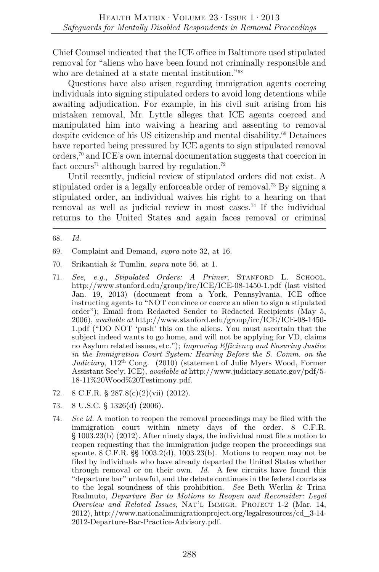Chief Counsel indicated that the ICE office in Baltimore used stipulated removal for "aliens who have been found not criminally responsible and who are detained at a state mental institution."68

Questions have also arisen regarding immigration agents coercing individuals into signing stipulated orders to avoid long detentions while awaiting adjudication. For example, in his civil suit arising from his mistaken removal, Mr. Lyttle alleges that ICE agents coerced and manipulated him into waiving a hearing and assenting to removal despite evidence of his US citizenship and mental disability.<sup>69</sup> Detainees have reported being pressured by ICE agents to sign stipulated removal orders,70 and ICE's own internal documentation suggests that coercion in fact occurs<sup>71</sup> although barred by regulation.<sup>72</sup>

Until recently, judicial review of stipulated orders did not exist. A stipulated order is a legally enforceable order of removal.73 By signing a stipulated order, an individual waives his right to a hearing on that removal as well as judicial review in most cases.<sup>74</sup> If the individual returns to the United States and again faces removal or criminal

- 71. *See, e.g.*, *Stipulated Orders: A Primer*, Stanford L. School, http://www.stanford.edu/group/irc/ICE/ICE-08-1450-1.pdf (last visited Jan. 19, 2013) (document from a York, Pennsylvania, ICE office instructing agents to "NOT convince or coerce an alien to sign a stipulated order"); Email from Redacted Sender to Redacted Recipients (May 5, 2006), *available at* http://www.stanford.edu/group/irc/ICE/ICE-08-1450- 1.pdf ("DO NOT 'push' this on the aliens. You must ascertain that the subject indeed wants to go home, and will not be applying for VD, claims no Asylum related issues, etc."); *Improving Efficiency and Ensuring Justice in the Immigration Court System: Hearing Before the S. Comm. on the Judiciary*, 112th Cong. (2010) (statement of Julie Myers Wood, Former Assistant Sec'y, ICE), *available at* http://www.judiciary.senate.gov/pdf/5- 18-11%20Wood%20Testimony.pdf.
- 72. 8 C.F.R. § 287.8(c)(2)(vii) (2012).
- 73. 8 U.S.C. § 1326(d) (2006).
- 74. *See id.* A motion to reopen the removal proceedings may be filed with the immigration court within ninety days of the order. 8 C.F.R. § 1003.23(b) (2012). After ninety days, the individual must file a motion to reopen requesting that the immigration judge reopen the proceedings sua sponte.  $8 \text{ C.F.R.}$  §§  $1003.2(d)$ ,  $1003.23(b)$ . Motions to reopen may not be filed by individuals who have already departed the United States whether through removal or on their own. *Id.* A few circuits have found this "departure bar" unlawful, and the debate continues in the federal courts as to the legal soundness of this prohibition. *See* Beth Werlin & Trina Realmuto, *Departure Bar to Motions to Reopen and Reconsider: Legal Overview and Related Issues*, Nat'l Immigr. Project 1-2 (Mar. 14, 2012), http://www.nationalimmigrationproject.org/legalresources/cd\_3-14- 2012-Departure-Bar-Practice-Advisory.pdf.

<sup>68.</sup> *Id.*

<sup>69.</sup> Complaint and Demand, *supra* note 32, at 16.

<sup>70.</sup> Srikantiah & Tumlin, *supra* note 56, at 1.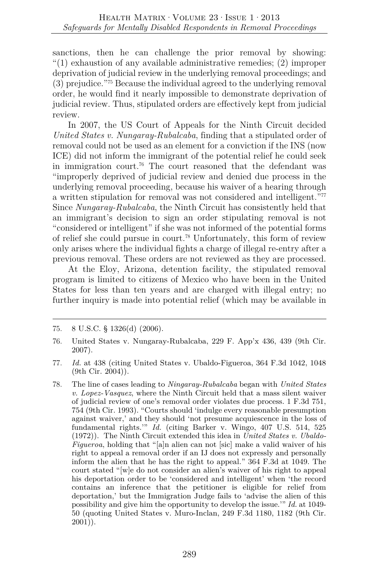sanctions, then he can challenge the prior removal by showing: "(1) exhaustion of any available administrative remedies; (2) improper deprivation of judicial review in the underlying removal proceedings; and (3) prejudice."75 Because the individual agreed to the underlying removal order, he would find it nearly impossible to demonstrate deprivation of judicial review. Thus, stipulated orders are effectively kept from judicial review.

In 2007, the US Court of Appeals for the Ninth Circuit decided *United States v. Nungaray-Rubalcaba*, finding that a stipulated order of removal could not be used as an element for a conviction if the INS (now ICE) did not inform the immigrant of the potential relief he could seek in immigration court.76 The court reasoned that the defendant was "improperly deprived of judicial review and denied due process in the underlying removal proceeding, because his waiver of a hearing through a written stipulation for removal was not considered and intelligent."77 Since *Nungaray-Rubalcaba*, the Ninth Circuit has consistently held that an immigrant's decision to sign an order stipulating removal is not "considered or intelligent" if she was not informed of the potential forms of relief she could pursue in court.78 Unfortunately, this form of review only arises where the individual fights a charge of illegal re-entry after a previous removal. These orders are not reviewed as they are processed.

At the Eloy, Arizona, detention facility, the stipulated removal program is limited to citizens of Mexico who have been in the United States for less than ten years and are charged with illegal entry; no further inquiry is made into potential relief (which may be available in

- 77. *Id.* at 438 (citing United States v. Ubaldo-Figueroa, 364 F.3d 1042, 1048 (9th Cir. 2004)).
- 78. The line of cases leading to *Ningaray-Rubalcaba* began with *United States v. Lopez-Vasquez*, where the Ninth Circuit held that a mass silent waiver of judicial review of one's removal order violates due process. 1 F.3d 751, 754 (9th Cir. 1993). "Courts should 'indulge every reasonable presumption against waiver,' and they should 'not presume acquiescence in the loss of fundamental rights.'" *Id.* (citing Barker v. Wingo, 407 U.S. 514, 525 (1972)). The Ninth Circuit extended this idea in *United States v. Ubaldo-Figueroa*, holding that "[a]n alien can not [sic] make a valid waiver of his right to appeal a removal order if an IJ does not expressly and personally inform the alien that he has the right to appeal." 364 F.3d at 1049. The court stated "[w]e do not consider an alien's waiver of his right to appeal his deportation order to be 'considered and intelligent' when 'the record contains an inference that the petitioner is eligible for relief from deportation,' but the Immigration Judge fails to 'advise the alien of this possibility and give him the opportunity to develop the issue.'" *Id.* at 1049- 50 (quoting United States v. Muro-Inclan, 249 F.3d 1180, 1182 (9th Cir. 2001)).

<sup>75.</sup> 8 U.S.C. § 1326(d) (2006).

<sup>76.</sup> United States v. Nungaray-Rubalcaba, 229 F. App'x 436, 439 (9th Cir. 2007).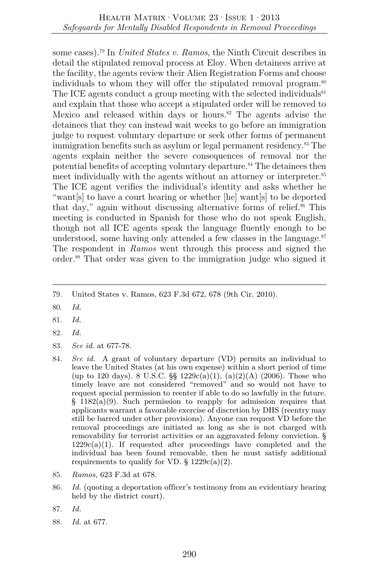some cases).79 In *United States v. Ramos*, the Ninth Circuit describes in detail the stipulated removal process at Eloy. When detainees arrive at the facility, the agents review their Alien Registration Forms and choose individuals to whom they will offer the stipulated removal program.<sup>80</sup> The ICE agents conduct a group meeting with the selected individuals<sup>81</sup> and explain that those who accept a stipulated order will be removed to Mexico and released within days or hours. $82$  The agents advise the detainees that they can instead wait weeks to go before an immigration judge to request voluntary departure or seek other forms of permanent immigration benefits such as asylum or legal permanent residency.83 The agents explain neither the severe consequences of removal nor the potential benefits of accepting voluntary departure.<sup>84</sup> The detainees then meet individually with the agents without an attorney or interpreter.<sup>85</sup> The ICE agent verifies the individual's identity and asks whether he "want[s] to have a court hearing or whether [he] want[s] to be deported that day," again without discussing alternative forms of relief. $86$  This meeting is conducted in Spanish for those who do not speak English, though not all ICE agents speak the language fluently enough to be understood, some having only attended a few classes in the language. $87$ The respondent in *Ramos* went through this process and signed the order.88 That order was given to the immigration judge who signed it

- 80. *Id.*
- 81. *Id.*
- 82. *Id.*
- 83. *See id.* at 677-78.
- 84. *See id.* A grant of voluntary departure (VD) permits an individual to leave the United States (at his own expense) within a short period of time (up to 120 days). 8 U.S.C.  $\S$  1229c(a)(1), (a)(2)(A) (2006). Those who timely leave are not considered "removed" and so would not have to request special permission to reenter if able to do so lawfully in the future.  $§$  1182(a)(9). Such permission to reapply for admission requires that applicants warrant a favorable exercise of discretion by DHS (reentry may still be barred under other provisions). Anyone can request VD before the removal proceedings are initiated as long as she is not charged with removability for terrorist activities or an aggravated felony conviction. §  $1229c(a)(1)$ . If requested after proceedings have completed and the individual has been found removable, then he must satisfy additional requirements to qualify for VD.  $\S 1229c(a)(2)$ .
- 85. *Ramos*, 623 F.3d at 678.
- 86. *Id.* (quoting a deportation officer's testimony from an evidentiary hearing held by the district court).
- 87. *Id.*
- 88. *Id.* at 677.

<sup>79.</sup> United States v. Ramos, 623 F.3d 672, 678 (9th Cir. 2010).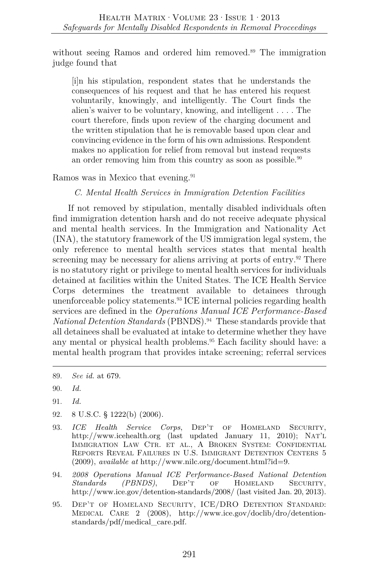without seeing Ramos and ordered him removed.<sup>89</sup> The immigration judge found that

[i]n his stipulation, respondent states that he understands the consequences of his request and that he has entered his request voluntarily, knowingly, and intelligently. The Court finds the alien's waiver to be voluntary, knowing, and intelligent . . . . The court therefore, finds upon review of the charging document and the written stipulation that he is removable based upon clear and convincing evidence in the form of his own admissions. Respondent makes no application for relief from removal but instead requests an order removing him from this country as soon as possible.<sup>90</sup>

Ramos was in Mexico that evening.<sup>91</sup>

*C. Mental Health Services in Immigration Detention Facilities* 

If not removed by stipulation, mentally disabled individuals often find immigration detention harsh and do not receive adequate physical and mental health services. In the Immigration and Nationality Act (INA), the statutory framework of the US immigration legal system, the only reference to mental health services states that mental health screening may be necessary for aliens arriving at ports of entry.<sup>92</sup> There is no statutory right or privilege to mental health services for individuals detained at facilities within the United States. The ICE Health Service Corps determines the treatment available to detainees through unenforceable policy statements.93 ICE internal policies regarding health services are defined in the *Operations Manual ICE Performance-Based National Detention Standards* (PBNDS).94 These standards provide that all detainees shall be evaluated at intake to determine whether they have any mental or physical health problems.<sup>95</sup> Each facility should have: a mental health program that provides intake screening; referral services

- 92. 8 U.S.C. § 1222(b) (2006).
- 93. *ICE Health Service Corps*, Dep't of Homeland Security, http://www.icehealth.org (last updated January 11, 2010); NAT'L IMMIGRATION LAW CTR. ET AL., A BROKEN SYSTEM: CONFIDENTIAL REPORTS REVEAL FAILURES IN U.S. IMMIGRANT DETENTION CENTERS 5 (2009), *available at* http://www.nilc.org/document.html?id=9.
- 94. *2008 Operations Manual ICE Performance-Based National Detention Standards (PBNDS)*, DEP'T OF HOMELAND SECURITY, http://www.ice.gov/detention-standards/2008/ (last visited Jan. 20, 2013).
- 95. DEP'T OF HOMELAND SECURITY, ICE/DRO DETENTION STANDARD: MEDICAL CARE 2 (2008), http://www.ice.gov/doclib/dro/detentionstandards/pdf/medical\_care.pdf.

<sup>89.</sup> *See id.* at 679.

<sup>90.</sup> *Id.*

<sup>91.</sup> *Id.*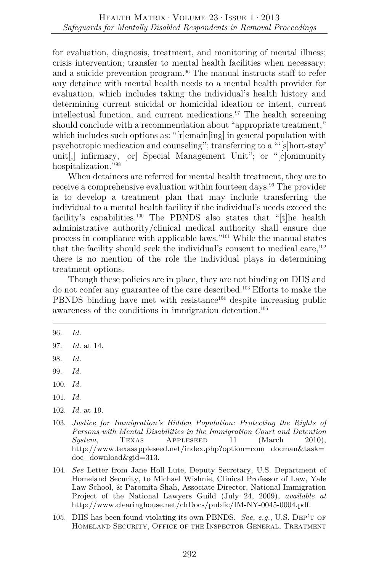for evaluation, diagnosis, treatment, and monitoring of mental illness; crisis intervention; transfer to mental health facilities when necessary; and a suicide prevention program.<sup>96</sup> The manual instructs staff to refer any detainee with mental health needs to a mental health provider for evaluation, which includes taking the individual's health history and determining current suicidal or homicidal ideation or intent, current intellectual function, and current medications. $\mathbb{I}^{7}$  The health screening should conclude with a recommendation about "appropriate treatment," which includes such options as: "[r]emain[ing] in general population with psychotropic medication and counseling"; transferring to a "'[s]hort-stay' unit[,] infirmary, [or] Special Management Unit"; or "[c]ommunity hospitalization."98

When detainees are referred for mental health treatment, they are to receive a comprehensive evaluation within fourteen days.<sup>99</sup> The provider is to develop a treatment plan that may include transferring the individual to a mental health facility if the individual's needs exceed the facility's capabilities.<sup>100</sup> The PBNDS also states that "[t]he health administrative authority/clinical medical authority shall ensure due process in compliance with applicable laws."101 While the manual states that the facility should seek the individual's consent to medical care,  $102$ there is no mention of the role the individual plays in determining treatment options.

Though these policies are in place, they are not binding on DHS and do not confer any guarantee of the care described.103 Efforts to make the PBNDS binding have met with resistance<sup>104</sup> despite increasing public awareness of the conditions in immigration detention.105

<sup>96.</sup> *Id.*

<sup>97.</sup> *Id.* at 14.

<sup>98.</sup> *Id.*

<sup>99.</sup> *Id.*

<sup>100.</sup> *Id.*

<sup>101.</sup> *Id.*

<sup>102.</sup> *Id.* at 19.

<sup>103.</sup> *Justice for Immigration's Hidden Population: Protecting the Rights of Persons with Mental Disabilities in the Immigration Court and Detention System*, TEXAS APPLESEED 11 (March 2010), http://www.texasappleseed.net/index.php?option=com\_docman&task= doc\_download&gid=313.

<sup>104.</sup> *See* Letter from Jane Holl Lute, Deputy Secretary, U.S. Department of Homeland Security, to Michael Wishnie, Clinical Professor of Law, Yale Law School, & Paromita Shah, Associate Director, National Immigration Project of the National Lawyers Guild (July 24, 2009), *available at* http://www.clearinghouse.net/chDocs/public/IM-NY-0045-0004.pdf.

<sup>105.</sup> DHS has been found violating its own PBNDS. *See, e.g.*, U.S. Dep't of Homeland Security, Office of the Inspector General, Treatment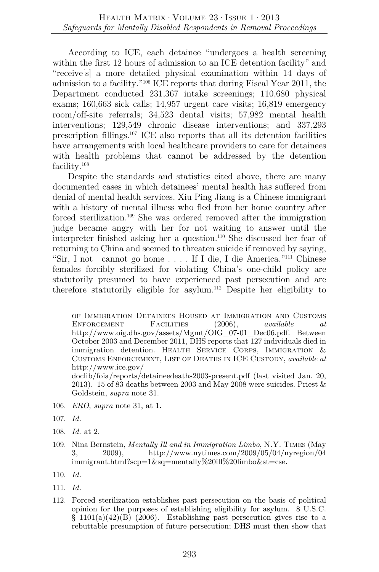According to ICE, each detainee "undergoes a health screening within the first 12 hours of admission to an ICE detention facility" and "receive[s] a more detailed physical examination within 14 days of admission to a facility."106 ICE reports that during Fiscal Year 2011, the Department conducted 231,367 intake screenings; 110,680 physical exams; 160,663 sick calls; 14,957 urgent care visits; 16,819 emergency room/off-site referrals; 34,523 dental visits; 57,982 mental health interventions; 129,549 chronic disease interventions; and 337,293 prescription fillings.107 ICE also reports that all its detention facilities have arrangements with local healthcare providers to care for detainees with health problems that cannot be addressed by the detention facility.108

Despite the standards and statistics cited above, there are many documented cases in which detainees' mental health has suffered from denial of mental health services. Xiu Ping Jiang is a Chinese immigrant with a history of mental illness who fled from her home country after forced sterilization.109 She was ordered removed after the immigration judge became angry with her for not waiting to answer until the interpreter finished asking her a question.110 She discussed her fear of returning to China and seemed to threaten suicide if removed by saying, "Sir, I not—cannot go home . . . . If I die, I die America."111 Chinese females forcibly sterilized for violating China's one-child policy are statutorily presumed to have experienced past persecution and are therefore statutorily eligible for asylum.112 Despite her eligibility to

doclib/foia/reports/detaineedeaths2003-present.pdf (last visited Jan. 20, 2013). 15 of 83 deaths between 2003 and May 2008 were suicides. Priest & Goldstein, *supra* note 31.

- 106. *ERO*, *supra* note 31, at 1.
- 107. *Id.*
- 108. *Id.* at 2.
- 109. Nina Bernstein, *Mentally Ill and in Immigration Limbo*, N.Y. Times (May 3, 2009), http://www.nytimes.com/2009/05/04/nyregion/04 immigrant.html?scp=1&sq=mentally%20ill%20limbo&st=cse.

110. *Id.*

- 111. *Id.*
- 112. Forced sterilization establishes past persecution on the basis of political opinion for the purposes of establishing eligibility for asylum. 8 U.S.C.  $\S$  1101(a)(42)(B) (2006). Establishing past persecution gives rise to a rebuttable presumption of future persecution; DHS must then show that

of Immigration Detainees Housed at Immigration and Customs Enforcement Facilities (2006), *available at* http://www.oig.dhs.gov/assets/Mgmt/OIG\_07-01\_Dec06.pdf. Between October 2003 and December 2011, DHS reports that 127 individuals died in immigration detention. HEALTH SERVICE CORPS, IMMIGRATION & Customs Enforcement, List of Deaths in ICE Custody, *available at* http://www.ice.gov/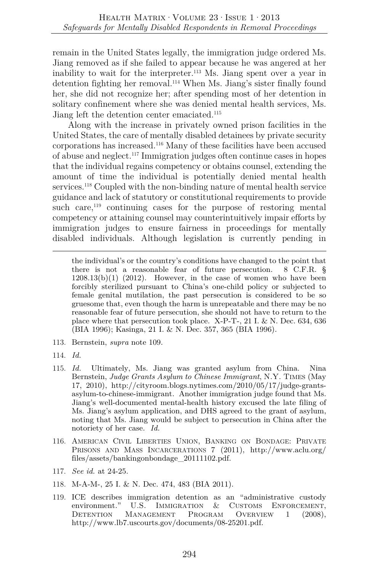remain in the United States legally, the immigration judge ordered Ms. Jiang removed as if she failed to appear because he was angered at her inability to wait for the interpreter.113 Ms. Jiang spent over a year in detention fighting her removal.114 When Ms. Jiang's sister finally found her, she did not recognize her; after spending most of her detention in solitary confinement where she was denied mental health services, Ms. Jiang left the detention center emaciated.<sup>115</sup>

Along with the increase in privately owned prison facilities in the United States, the care of mentally disabled detainees by private security corporations has increased.116 Many of these facilities have been accused of abuse and neglect.117 Immigration judges often continue cases in hopes that the individual regains competency or obtains counsel, extending the amount of time the individual is potentially denied mental health services.<sup>118</sup> Coupled with the non-binding nature of mental health service guidance and lack of statutory or constitutional requirements to provide such care,  $119$  continuing cases for the purpose of restoring mental competency or attaining counsel may counterintuitively impair efforts by immigration judges to ensure fairness in proceedings for mentally disabled individuals. Although legislation is currently pending in

the individual's or the country's conditions have changed to the point that there is not a reasonable fear of future persecution. 8 C.F.R. §  $1208.13(b)(1)$   $(2012)$ . However, in the case of women who have been forcibly sterilized pursuant to China's one-child policy or subjected to female genital mutilation, the past persecution is considered to be so gruesome that, even though the harm is unrepeatable and there may be no reasonable fear of future persecution, she should not have to return to the place where that persecution took place. X-P-T-, 21 I. & N. Dec. 634, 636 (BIA 1996); Kasinga, 21 I. & N. Dec. 357, 365 (BIA 1996).

- 113. Bernstein, *supra* note 109.
- 114. *Id.*
- 115. *Id.* Ultimately, Ms. Jiang was granted asylum from China. Nina Bernstein, *Judge Grants Asylum to Chinese Immigrant*, N.Y. Times (May 17, 2010), http://cityroom.blogs.nytimes.com/2010/05/17/judge-grantsasylum-to-chinese-immigrant. Another immigration judge found that Ms. Jiang's well-documented mental-health history excused the late filing of Ms. Jiang's asylum application, and DHS agreed to the grant of asylum, noting that Ms. Jiang would be subject to persecution in China after the notoriety of her case. *Id.*
- 116. AMERICAN CIVIL LIBERTIES UNION, BANKING ON BONDAGE: PRIVATE PRISONS AND MASS INCARCERATIONS 7 (2011), http://www.aclu.org/ files/assets/bankingonbondage\_20111102.pdf.
- 117. *See id.* at 24-25.
- 118. M-A-M-, 25 I. & N. Dec. 474, 483 (BIA 2011).
- 119. ICE describes immigration detention as an "administrative custody environment." U.S. IMMIGRATION & CUSTOMS ENFORCEMENT, Detention Management Program Overview 1 (2008), http://www.lb7.uscourts.gov/documents/08-25201.pdf.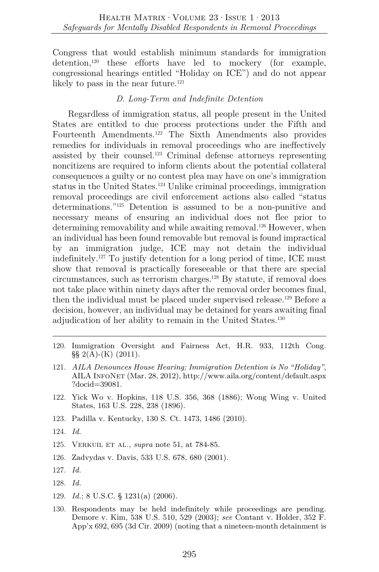Congress that would establish minimum standards for immigration detention,<sup>120</sup> these efforts have led to mockery (for example, congressional hearings entitled "Holiday on ICE") and do not appear likely to pass in the near future.<sup>121</sup>

## *D. Long-Term and Indefinite Detention*

Regardless of immigration status, all people present in the United States are entitled to due process protections under the Fifth and Fourteenth Amendments.122 The Sixth Amendments also provides remedies for individuals in removal proceedings who are ineffectively assisted by their counsel.123 Criminal defense attorneys representing noncitizens are required to inform clients about the potential collateral consequences a guilty or no contest plea may have on one's immigration status in the United States.124 Unlike criminal proceedings, immigration removal proceedings are civil enforcement actions also called "status determinations."125 Detention is assumed to be a non-punitive and necessary means of ensuring an individual does not flee prior to determining removability and while awaiting removal.<sup>126</sup> However, when an individual has been found removable but removal is found impractical by an immigration judge, ICE may not detain the individual indefinitely.127 To justify detention for a long period of time, ICE must show that removal is practically foreseeable or that there are special circumstances, such as terrorism charges.128 By statute, if removal does not take place within ninety days after the removal order becomes final, then the individual must be placed under supervised release.129 Before a decision, however, an individual may be detained for years awaiting final adjudication of her ability to remain in the United States.<sup>130</sup>

- 120. Immigration Oversight and Fairness Act, H.R. 933, 112th Cong.  $\S\S 2(A)$ -(K) (2011).
- 121. *AILA Denounces House Hearing; Immigration Detention is No "Holiday"*, AILA InfoNet (Mar. 28, 2012), http://www.aila.org/content/default.aspx ?docid=39081.
- 122. Yick Wo v. Hopkins, 118 U.S. 356, 368 (1886); Wong Wing v. United States, 163 U.S. 228, 238 (1896).
- 123. Padilla v. Kentucky, 130 S. Ct. 1473, 1486 (2010).
- 124*. Id.*
- 125. Verkuil et al., *supra* note 51, at 784-85.
- 126. Zadvydas v. Davis, 533 U.S. 678, 680 (2001).
- 127. *Id.*
- 128. *Id.*
- 129. *Id.*; 8 U.S.C. § 1231(a) (2006).
- 130. Respondents may be held indefinitely while proceedings are pending. Demore v. Kim, 538 U.S. 510, 529 (2003); *see* Contant v. Holder, 352 F. App'x 692, 695 (3d Cir. 2009) (noting that a nineteen-month detainment is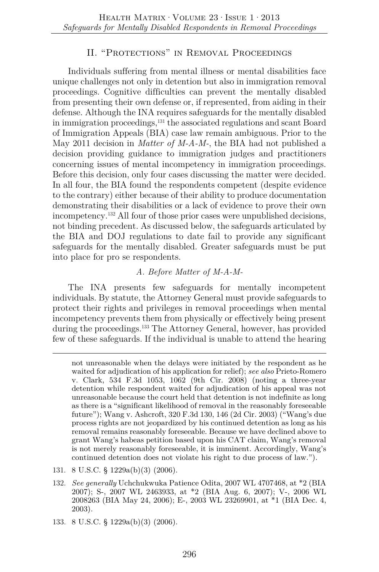## II. "Protections" in Removal Proceedings

Individuals suffering from mental illness or mental disabilities face unique challenges not only in detention but also in immigration removal proceedings. Cognitive difficulties can prevent the mentally disabled from presenting their own defense or, if represented, from aiding in their defense. Although the INA requires safeguards for the mentally disabled in immigration proceedings,<sup>131</sup> the associated regulations and scant Board of Immigration Appeals (BIA) case law remain ambiguous. Prior to the May 2011 decision in *Matter of M-A-M-*, the BIA had not published a decision providing guidance to immigration judges and practitioners concerning issues of mental incompetency in immigration proceedings. Before this decision, only four cases discussing the matter were decided. In all four, the BIA found the respondents competent (despite evidence to the contrary) either because of their ability to produce documentation demonstrating their disabilities or a lack of evidence to prove their own incompetency.132 All four of those prior cases were unpublished decisions, not binding precedent. As discussed below, the safeguards articulated by the BIA and DOJ regulations to date fail to provide any significant safeguards for the mentally disabled. Greater safeguards must be put into place for pro se respondents.

## *A. Before Matter of M-A-M-*

The INA presents few safeguards for mentally incompetent individuals. By statute, the Attorney General must provide safeguards to protect their rights and privileges in removal proceedings when mental incompetency prevents them from physically or effectively being present during the proceedings.133 The Attorney General, however, has provided few of these safeguards. If the individual is unable to attend the hearing

133. 8 U.S.C. § 1229a(b)(3) (2006).

not unreasonable when the delays were initiated by the respondent as he waited for adjudication of his application for relief); *see also* Prieto-Romero v. Clark, 534 F.3d 1053, 1062 (9th Cir. 2008) (noting a three-year detention while respondent waited for adjudication of his appeal was not unreasonable because the court held that detention is not indefinite as long as there is a "significant likelihood of removal in the reasonably foreseeable future"); Wang v. Ashcroft, 320 F.3d 130, 146 (2d Cir. 2003) ("Wang's due process rights are not jeopardized by his continued detention as long as his removal remains reasonably foreseeable. Because we have declined above to grant Wang's habeas petition based upon his CAT claim, Wang's removal is not merely reasonably foreseeable, it is imminent. Accordingly, Wang's continued detention does not violate his right to due process of law.").

<sup>131.</sup> 8 U.S.C. § 1229a(b)(3) (2006).

<sup>132.</sup> *See generally* Uchchukwuka Patience Odita, 2007 WL 4707468, at \*2 (BIA 2007); S-, 2007 WL 2463933, at \*2 (BIA Aug. 6, 2007); V-, 2006 WL 2008263 (BIA May 24, 2006); E-, 2003 WL 23269901, at \*1 (BIA Dec. 4, 2003).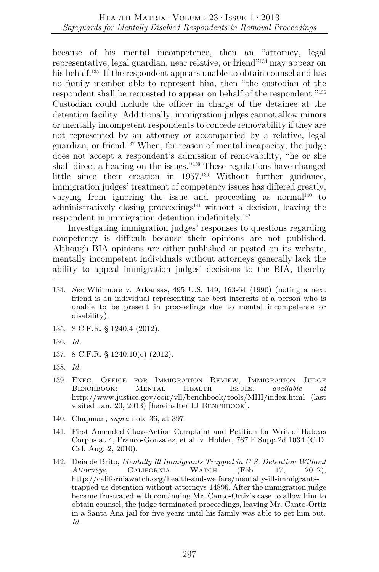because of his mental incompetence, then an "attorney, legal representative, legal guardian, near relative, or friend"134 may appear on his behalf.<sup>135</sup> If the respondent appears unable to obtain counsel and has no family member able to represent him, then "the custodian of the respondent shall be requested to appear on behalf of the respondent."136 Custodian could include the officer in charge of the detainee at the detention facility. Additionally, immigration judges cannot allow minors or mentally incompetent respondents to concede removability if they are not represented by an attorney or accompanied by a relative, legal guardian, or friend.137 When, for reason of mental incapacity, the judge does not accept a respondent's admission of removability, "he or she shall direct a hearing on the issues."138 These regulations have changed little since their creation in 1957.139 Without further guidance, immigration judges' treatment of competency issues has differed greatly, varying from ignoring the issue and proceeding as normal<sup>140</sup> to administratively closing proceedings<sup> $141$ </sup> without a decision, leaving the respondent in immigration detention indefinitely.142

Investigating immigration judges' responses to questions regarding competency is difficult because their opinions are not published. Although BIA opinions are either published or posted on its website, mentally incompetent individuals without attorneys generally lack the ability to appeal immigration judges' decisions to the BIA, thereby

- 134. *See* Whitmore v. Arkansas, 495 U.S. 149, 163-64 (1990) (noting a next friend is an individual representing the best interests of a person who is unable to be present in proceedings due to mental incompetence or disability).
- 135. 8 C.F.R. § 1240.4 (2012).
- 136. *Id.*
- 137. 8 C.F.R. § 1240.10(c) (2012).
- 138. *Id.*
- 139. Exec. Office for Immigration Review, Immigration Judge Benchbook: Mental Health Issues, *available at*  http://www.justice.gov/eoir/vll/benchbook/tools/MHI/index.html (last visited Jan. 20, 2013) [hereinafter IJ BENCHBOOK].
- 140. Chapman, *supra* note 36, at 397.
- 141. First Amended Class-Action Complaint and Petition for Writ of Habeas Corpus at 4, Franco-Gonzalez, et al. v. Holder, 767 F.Supp.2d 1034 (C.D. Cal. Aug. 2, 2010).
- 142. Deia de Brito, *Mentally Ill Immigrants Trapped in U.S. Detention Without Attorneys*, California Watch (Feb. 17, 2012), http://californiawatch.org/health-and-welfare/mentally-ill-immigrantstrapped-us-detention-without-attorneys-14896. After the immigration judge became frustrated with continuing Mr. Canto-Ortiz's case to allow him to obtain counsel, the judge terminated proceedings, leaving Mr. Canto-Ortiz in a Santa Ana jail for five years until his family was able to get him out. *Id.*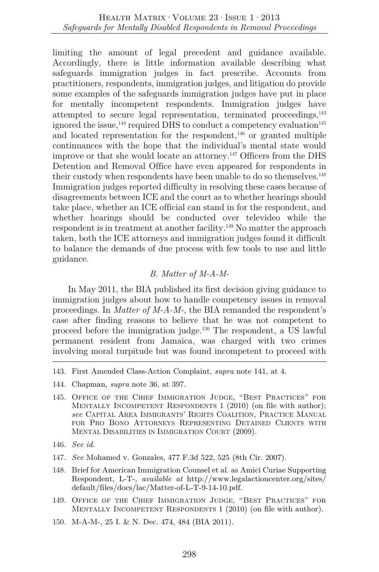limiting the amount of legal precedent and guidance available. Accordingly, there is little information available describing what safeguards immigration judges in fact prescribe. Accounts from practitioners, respondents, immigration judges, and litigation do provide some examples of the safeguards immigration judges have put in place for mentally incompetent respondents. Immigration judges have attempted to secure legal representation, terminated proceedings,143 ignored the issue,  $^{144}$  required DHS to conduct a competency evaluation<sup>145</sup> and located representation for the respondent, $146$  or granted multiple continuances with the hope that the individual's mental state would improve or that she would locate an attorney.147 Officers from the DHS Detention and Removal Office have even appeared for respondents in their custody when respondents have been unable to do so themselves.<sup>148</sup> Immigration judges reported difficulty in resolving these cases because of disagreements between ICE and the court as to whether hearings should take place, whether an ICE official can stand in for the respondent, and whether hearings should be conducted over televideo while the respondent is in treatment at another facility.149 No matter the approach taken, both the ICE attorneys and immigration judges found it difficult to balance the demands of due process with few tools to use and little guidance.

## *B. Matter of M-A-M-*

In May 2011, the BIA published its first decision giving guidance to immigration judges about how to handle competency issues in removal proceedings. In *Matter of M-A-M-*, the BIA remanded the respondent's case after finding reasons to believe that he was not competent to proceed before the immigration judge.150 The respondent, a US lawful permanent resident from Jamaica, was charged with two crimes involving moral turpitude but was found incompetent to proceed with

- 147. *See* Mohamed v. Gonzales, 477 F.3d 522, 525 (8th Cir. 2007).
- 148. Brief for American Immigration Counsel et al. as Amici Curiae Supporting Respondent, L-T-, *available at* http://www.legalactioncenter.org/sites/ default/files/docs/lac/Matter-of-L-T-9-14-10.pdf.
- 149. Office of the Chief Immigration Judge, "Best Practices" for Mentally Incompetent Respondents 1 (2010) (on file with author).
- 150. M-A-M-, 25 I. & N. Dec. 474, 484 (BIA 2011).

<sup>143.</sup> First Amended Class-Action Complaint, *supra* note 141, at 4.

<sup>144.</sup> Chapman, *supra* note 36, at 397.

<sup>145.</sup> Office of the Chief Immigration Judge, "Best Practices" for MENTALLY INCOMPETENT RESPONDENTS 1 (2010) (on file with author); *see* CAPITAL AREA IMMIGRANTS' RIGHTS COALITION, PRACTICE MANUAL FOR PRO BONO ATTORNEYS REPRESENTING DETAINED CLIENTS WITH MENTAL DISABILITIES IN IMMIGRATION COURT (2009).

<sup>146.</sup> *See id.*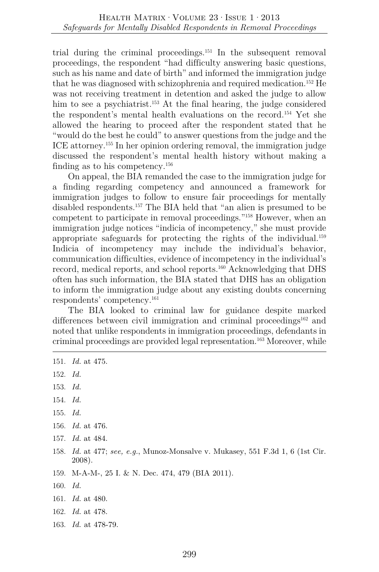trial during the criminal proceedings.151 In the subsequent removal proceedings, the respondent "had difficulty answering basic questions, such as his name and date of birth" and informed the immigration judge that he was diagnosed with schizophrenia and required medication.152 He was not receiving treatment in detention and asked the judge to allow him to see a psychiatrist.<sup>153</sup> At the final hearing, the judge considered the respondent's mental health evaluations on the record.154 Yet she allowed the hearing to proceed after the respondent stated that he "would do the best he could" to answer questions from the judge and the ICE attorney.155 In her opinion ordering removal, the immigration judge discussed the respondent's mental health history without making a finding as to his competency.156

On appeal, the BIA remanded the case to the immigration judge for a finding regarding competency and announced a framework for immigration judges to follow to ensure fair proceedings for mentally disabled respondents.157 The BIA held that "an alien is presumed to be competent to participate in removal proceedings."158 However, when an immigration judge notices "indicia of incompetency," she must provide appropriate safeguards for protecting the rights of the individual.<sup>159</sup> Indicia of incompetency may include the individual's behavior, communication difficulties, evidence of incompetency in the individual's record, medical reports, and school reports.160 Acknowledging that DHS often has such information, the BIA stated that DHS has an obligation to inform the immigration judge about any existing doubts concerning respondents' competency.161

The BIA looked to criminal law for guidance despite marked differences between civil immigration and criminal proceedings<sup>162</sup> and noted that unlike respondents in immigration proceedings, defendants in criminal proceedings are provided legal representation.163 Moreover, while

- 153. *Id.*
- 154. *Id.*
- 155. *Id.*
- 156. *Id.* at 476.
- 157. *Id.* at 484.
- 158. *Id.* at 477; *see, e.g.*, Munoz-Monsalve v. Mukasey, 551 F.3d 1, 6 (1st Cir. 2008).
- 159. M-A-M-, 25 I. & N. Dec. 474, 479 (BIA 2011).
- 160. *Id.*
- 161. *Id.* at 480.
- 162. *Id.* at 478.
- 163. *Id.* at 478-79.

<sup>151.</sup> *Id.* at 475.

<sup>152.</sup> *Id.*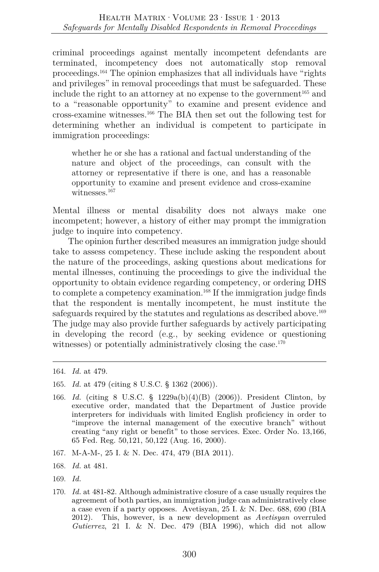criminal proceedings against mentally incompetent defendants are terminated, incompetency does not automatically stop removal proceedings.164 The opinion emphasizes that all individuals have "rights and privileges" in removal proceedings that must be safeguarded. These include the right to an attorney at no expense to the government<sup>165</sup> and to a "reasonable opportunity" to examine and present evidence and cross-examine witnesses.166 The BIA then set out the following test for determining whether an individual is competent to participate in immigration proceedings:

whether he or she has a rational and factual understanding of the nature and object of the proceedings, can consult with the attorney or representative if there is one, and has a reasonable opportunity to examine and present evidence and cross-examine witnesses.<sup>167</sup>

Mental illness or mental disability does not always make one incompetent; however, a history of either may prompt the immigration judge to inquire into competency.

The opinion further described measures an immigration judge should take to assess competency. These include asking the respondent about the nature of the proceedings, asking questions about medications for mental illnesses, continuing the proceedings to give the individual the opportunity to obtain evidence regarding competency, or ordering DHS to complete a competency examination.168 If the immigration judge finds that the respondent is mentally incompetent, he must institute the safeguards required by the statutes and regulations as described above.<sup>169</sup> The judge may also provide further safeguards by actively participating in developing the record (e.g., by seeking evidence or questioning witnesses) or potentially administratively closing the case.<sup>170</sup>

- 166. *Id.* (citing 8 U.S.C. § 1229a(b)(4)(B) (2006)). President Clinton, by executive order, mandated that the Department of Justice provide interpreters for individuals with limited English proficiency in order to "improve the internal management of the executive branch" without creating "any right or benefit" to those services. Exec. Order No. 13,166, 65 Fed. Reg. 50,121, 50,122 (Aug. 16, 2000).
- 167. M-A-M-, 25 I. & N. Dec. 474, 479 (BIA 2011).
- 168. *Id.* at 481.
- 169. *Id.*
- 170. *Id.* at 481-82. Although administrative closure of a case usually requires the agreement of both parties, an immigration judge can administratively close a case even if a party opposes. Avetisyan, 25 I. & N. Dec. 688, 690 (BIA 2012). This, however, is a new development as *Avetisyan* overruled *Gutierrez*, 21 I. & N. Dec. 479 (BIA 1996), which did not allow

<sup>164.</sup> *Id.* at 479.

<sup>165.</sup> *Id.* at 479 (citing 8 U.S.C. § 1362 (2006)).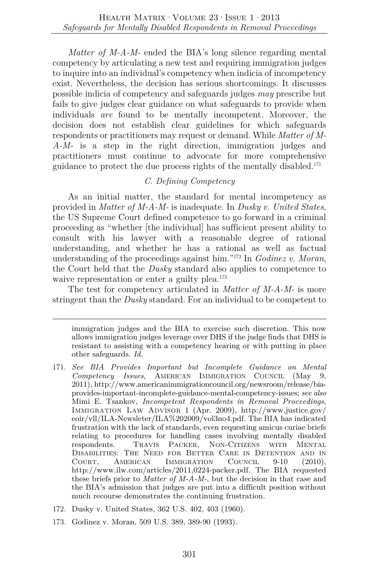*Matter of M-A-M-* ended the BIA's long silence regarding mental competency by articulating a new test and requiring immigration judges to inquire into an individual's competency when indicia of incompetency exist. Nevertheless, the decision has serious shortcomings. It discusses possible indicia of competency and safeguards judges *may* prescribe but fails to give judges clear guidance on what safeguards to provide when individuals *are* found to be mentally incompetent. Moreover, the decision does not establish clear guidelines for which safeguards respondents or practitioners may request or demand. While *Matter of M-A-M-* is a step in the right direction, immigration judges and practitioners must continue to advocate for more comprehensive guidance to protect the due process rights of the mentally disabled.171

## *C. Defining Competency*

As an initial matter, the standard for mental incompetency as provided in *Matter of M-A-M-* is inadequate. In *Dusky v. United States*, the US Supreme Court defined competence to go forward in a criminal proceeding as "whether [the individual] has sufficient present ability to consult with his lawyer with a reasonable degree of rational understanding, and whether he has a rational as well as factual understanding of the proceedings against him."172 In *Godinez v. Moran*, the Court held that the *Dusky* standard also applies to competence to waive representation or enter a guilty plea.<sup>173</sup>

The test for competency articulated in *Matter of M-A-M-* is more stringent than the *Dusky* standard. For an individual to be competent to

- 171. *See BIA Provides Important but Incomplete Guidance on Mental Competency Issues*, AMERICAN IMMIGRATION COUNCIL (May 9, 2011), http://www.americanimmigrationcouncil.org/newsroom/release/biaprovides-important-incomplete-guidance-mental-competency-issues; *see also* Mimi E. Tsankov, *Incompetent Respondents in Removal Proceedings*, Immigration Law Advisor 1 (Apr. 2009), http://www.justice.gov/ eoir/vll/ILA-Newsleter/ILA%202009/vol3no4.pdf. The BIA has indicated frustration with the lack of standards, even requesting amicus curiae briefs relating to procedures for handling cases involving mentally disabled respondents. Travis Packer, Non-Citizens with Mental Disabilities: The Need for Better Care in Detention and in Court, American Immigration Council 9-10 (2010), http://www.ilw.com/articles/2011,0224-packer.pdf. The BIA requested these briefs prior to *Matter of M-A-M-*, but the decision in that case and the BIA's admission that judges are put into a difficult position without much recourse demonstrates the continuing frustration.
- 172. Dusky v. United States, 362 U.S. 402, 403 (1960).
- 173. Godinez v. Moran, 509 U.S. 389, 389-90 (1993).

immigration judges and the BIA to exercise such discretion. This now allows immigration judges leverage over DHS if the judge finds that DHS is resistant to assisting with a competency hearing or with putting in place other safeguards. *Id.*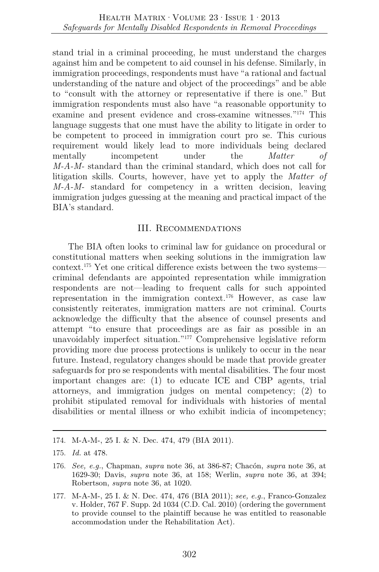stand trial in a criminal proceeding, he must understand the charges against him and be competent to aid counsel in his defense. Similarly, in immigration proceedings, respondents must have "a rational and factual understanding of the nature and object of the proceedings" and be able to "consult with the attorney or representative if there is one." But immigration respondents must also have "a reasonable opportunity to examine and present evidence and cross-examine witnesses."174 This language suggests that one must have the ability to litigate in order to be competent to proceed in immigration court pro se. This curious requirement would likely lead to more individuals being declared mentally incompetent under the *Matter of M-A-M-* standard than the criminal standard, which does not call for litigation skills. Courts, however, have yet to apply the *Matter of M-A-M-* standard for competency in a written decision, leaving immigration judges guessing at the meaning and practical impact of the BIA's standard.

## III. Recommendations

The BIA often looks to criminal law for guidance on procedural or constitutional matters when seeking solutions in the immigration law context.175 Yet one critical difference exists between the two systems criminal defendants are appointed representation while immigration respondents are not—leading to frequent calls for such appointed representation in the immigration context.176 However, as case law consistently reiterates, immigration matters are not criminal. Courts acknowledge the difficulty that the absence of counsel presents and attempt "to ensure that proceedings are as fair as possible in an unavoidably imperfect situation."177 Comprehensive legislative reform providing more due process protections is unlikely to occur in the near future. Instead, regulatory changes should be made that provide greater safeguards for pro se respondents with mental disabilities. The four most important changes are: (1) to educate ICE and CBP agents, trial attorneys, and immigration judges on mental competency; (2) to prohibit stipulated removal for individuals with histories of mental disabilities or mental illness or who exhibit indicia of incompetency;

<sup>174.</sup> M-A-M-, 25 I. & N. Dec. 474, 479 (BIA 2011).

<sup>175.</sup> *Id.* at 478.

<sup>176.</sup> *See, e.g.*, Chapman, *supra* note 36, at 386-87; Chacón, *supra* note 36, at 1629-30; Davis, *supra* note 36, at 158; Werlin, *supra* note 36, at 394; Robertson, *supra* note 36, at 1020.

<sup>177.</sup> M-A-M-, 25 I. & N. Dec. 474, 476 (BIA 2011); *see, e.g.*, Franco-Gonzalez v. Holder, 767 F. Supp. 2d 1034 (C.D. Cal. 2010) (ordering the government to provide counsel to the plaintiff because he was entitled to reasonable accommodation under the Rehabilitation Act).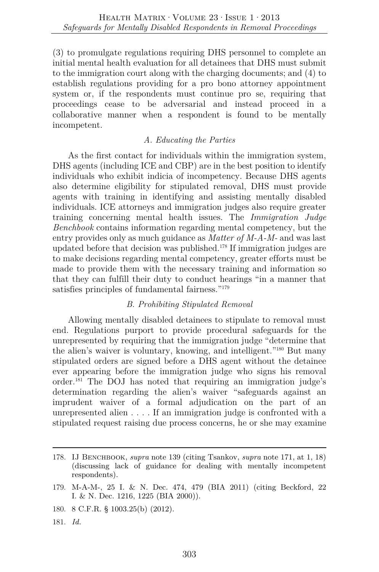(3) to promulgate regulations requiring DHS personnel to complete an initial mental health evaluation for all detainees that DHS must submit to the immigration court along with the charging documents; and (4) to establish regulations providing for a pro bono attorney appointment system or, if the respondents must continue pro se, requiring that proceedings cease to be adversarial and instead proceed in a collaborative manner when a respondent is found to be mentally incompetent.

## *A. Educating the Parties*

As the first contact for individuals within the immigration system, DHS agents (including ICE and CBP) are in the best position to identify individuals who exhibit indicia of incompetency. Because DHS agents also determine eligibility for stipulated removal, DHS must provide agents with training in identifying and assisting mentally disabled individuals. ICE attorneys and immigration judges also require greater training concerning mental health issues. The *Immigration Judge Benchbook* contains information regarding mental competency, but the entry provides only as much guidance as *Matter of M-A-M-* and was last updated before that decision was published.178 If immigration judges are to make decisions regarding mental competency, greater efforts must be made to provide them with the necessary training and information so that they can fulfill their duty to conduct hearings "in a manner that satisfies principles of fundamental fairness."179

## *B. Prohibiting Stipulated Removal*

Allowing mentally disabled detainees to stipulate to removal must end. Regulations purport to provide procedural safeguards for the unrepresented by requiring that the immigration judge "determine that the alien's waiver is voluntary, knowing, and intelligent."180 But many stipulated orders are signed before a DHS agent without the detainee ever appearing before the immigration judge who signs his removal order.181 The DOJ has noted that requiring an immigration judge's determination regarding the alien's waiver "safeguards against an imprudent waiver of a formal adjudication on the part of an unrepresented alien . . . . If an immigration judge is confronted with a stipulated request raising due process concerns, he or she may examine

181. *Id.*

<sup>178.</sup> IJ Benchbook, *supra* note 139 (citing Tsankov, *supra* note 171, at 1, 18) (discussing lack of guidance for dealing with mentally incompetent respondents).

<sup>179.</sup> M-A-M-, 25 I. & N. Dec. 474, 479 (BIA 2011) (citing Beckford, 22 I. & N. Dec. 1216, 1225 (BIA 2000)).

<sup>180.</sup> 8 C.F.R. § 1003.25(b) (2012).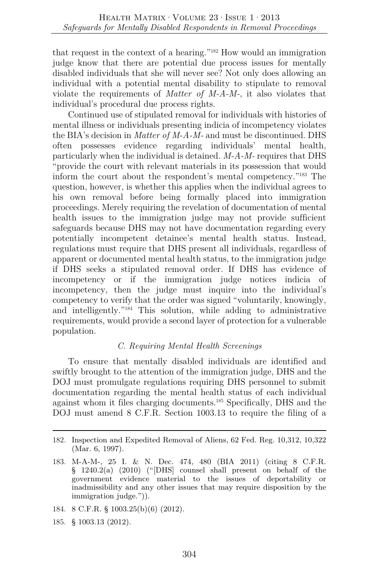that request in the context of a hearing."182 How would an immigration judge know that there are potential due process issues for mentally disabled individuals that she will never see? Not only does allowing an individual with a potential mental disability to stipulate to removal violate the requirements of *Matter of M-A-M-*, it also violates that individual's procedural due process rights.

Continued use of stipulated removal for individuals with histories of mental illness or individuals presenting indicia of incompetency violates the BIA's decision in *Matter of M-A-M-* and must be discontinued. DHS often possesses evidence regarding individuals' mental health, particularly when the individual is detained. *M-A-M-* requires that DHS "provide the court with relevant materials in its possession that would inform the court about the respondent's mental competency."183 The question, however, is whether this applies when the individual agrees to his own removal before being formally placed into immigration proceedings. Merely requiring the revelation of documentation of mental health issues to the immigration judge may not provide sufficient safeguards because DHS may not have documentation regarding every potentially incompetent detainee's mental health status. Instead, regulations must require that DHS present all individuals, regardless of apparent or documented mental health status, to the immigration judge if DHS seeks a stipulated removal order. If DHS has evidence of incompetency or if the immigration judge notices indicia of incompetency, then the judge must inquire into the individual's competency to verify that the order was signed "voluntarily, knowingly, and intelligently."184 This solution, while adding to administrative requirements, would provide a second layer of protection for a vulnerable population.

## *C. Requiring Mental Health Screenings*

To ensure that mentally disabled individuals are identified and swiftly brought to the attention of the immigration judge, DHS and the DOJ must promulgate regulations requiring DHS personnel to submit documentation regarding the mental health status of each individual against whom it files charging documents.185 Specifically, DHS and the DOJ must amend 8 C.F.R. Section 1003.13 to require the filing of a

- 184. 8 C.F.R. § 1003.25(b)(6) (2012).
- 185. § 1003.13 (2012).

<sup>182.</sup> Inspection and Expedited Removal of Aliens, 62 Fed. Reg. 10,312, 10,322 (Mar. 6, 1997).

<sup>183.</sup> M-A-M-, 25 I. & N. Dec. 474, 480 (BIA 2011) (citing 8 C.F.R. § 1240.2(a) (2010) ("[DHS] counsel shall present on behalf of the government evidence material to the issues of deportability or inadmissibility and any other issues that may require disposition by the immigration judge.")).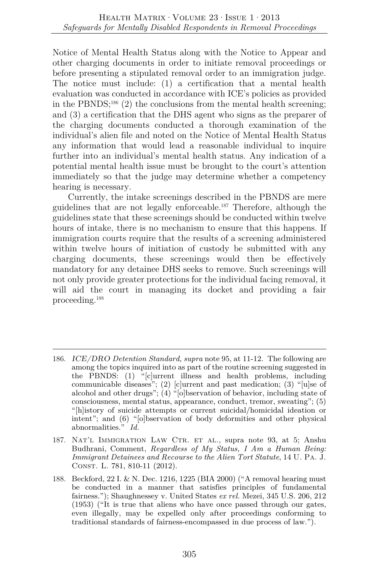Notice of Mental Health Status along with the Notice to Appear and other charging documents in order to initiate removal proceedings or before presenting a stipulated removal order to an immigration judge. The notice must include: (1) a certification that a mental health evaluation was conducted in accordance with ICE's policies as provided in the PBNDS;<sup>186</sup> (2) the conclusions from the mental health screening; and (3) a certification that the DHS agent who signs as the preparer of the charging documents conducted a thorough examination of the individual's alien file and noted on the Notice of Mental Health Status any information that would lead a reasonable individual to inquire further into an individual's mental health status. Any indication of a potential mental health issue must be brought to the court's attention immediately so that the judge may determine whether a competency hearing is necessary.

Currently, the intake screenings described in the PBNDS are mere guidelines that are not legally enforceable.187 Therefore, although the guidelines state that these screenings should be conducted within twelve hours of intake, there is no mechanism to ensure that this happens. If immigration courts require that the results of a screening administered within twelve hours of initiation of custody be submitted with any charging documents, these screenings would then be effectively mandatory for any detainee DHS seeks to remove. Such screenings will not only provide greater protections for the individual facing removal, it will aid the court in managing its docket and providing a fair proceeding.188

<sup>186.</sup> *ICE/DRO Detention Standard*, *supra* note 95, at 11-12. The following are among the topics inquired into as part of the routine screening suggested in the PBNDS: (1) "[c]urrent illness and health problems, including communicable diseases"; (2) [c]urrent and past medication; (3) "[u]se of alcohol and other drugs"; (4) "[o]bservation of behavior, including state of consciousness, mental status, appearance, conduct, tremor, sweating"; (5) "[h]istory of suicide attempts or current suicidal/homicidal ideation or intent"; and (6) "[o]bservation of body deformities and other physical abnormalities." *Id.* 

<sup>187.</sup> Nat'l Immigration Law Ctr. et al., supra note 93, at 5; Anshu Budhrani, Comment, *Regardless of My Status, I Am a Human Being: Immigrant Detainees and Recourse to the Alien Tort Statute*, 14 U. Pa. J. Const. L. 781, 810-11 (2012).

<sup>188.</sup> Beckford, 22 I. & N. Dec. 1216, 1225 (BIA 2000) ("A removal hearing must be conducted in a manner that satisfies principles of fundamental fairness."); Shaughnessey v. United States *ex rel.* Mezei, 345 U.S. 206, 212 (1953) ("It is true that aliens who have once passed through our gates, even illegally, may be expelled only after proceedings conforming to traditional standards of fairness-encompassed in due process of law.").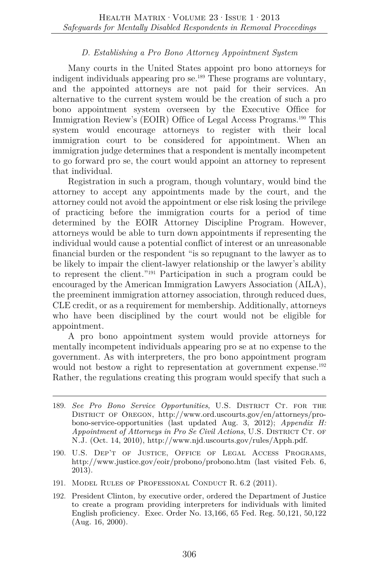## *D. Establishing a Pro Bono Attorney Appointment System*

Many courts in the United States appoint pro bono attorneys for indigent individuals appearing pro se.189 These programs are voluntary, and the appointed attorneys are not paid for their services. An alternative to the current system would be the creation of such a pro bono appointment system overseen by the Executive Office for Immigration Review's (EOIR) Office of Legal Access Programs.<sup>190</sup> This system would encourage attorneys to register with their local immigration court to be considered for appointment. When an immigration judge determines that a respondent is mentally incompetent to go forward pro se, the court would appoint an attorney to represent that individual.

Registration in such a program, though voluntary, would bind the attorney to accept any appointments made by the court, and the attorney could not avoid the appointment or else risk losing the privilege of practicing before the immigration courts for a period of time determined by the EOIR Attorney Discipline Program. However, attorneys would be able to turn down appointments if representing the individual would cause a potential conflict of interest or an unreasonable financial burden or the respondent "is so repugnant to the lawyer as to be likely to impair the client-lawyer relationship or the lawyer's ability to represent the client."191 Participation in such a program could be encouraged by the American Immigration Lawyers Association (AILA), the preeminent immigration attorney association, through reduced dues, CLE credit, or as a requirement for membership. Additionally, attorneys who have been disciplined by the court would not be eligible for appointment.

A pro bono appointment system would provide attorneys for mentally incompetent individuals appearing pro se at no expense to the government. As with interpreters, the pro bono appointment program would not bestow a right to representation at government expense.<sup>192</sup> Rather, the regulations creating this program would specify that such a

- 189. *See Pro Bono Service Opportunities*, U.S. DISTRICT CT. FOR THE District of Oregon, http://www.ord.uscourts.gov/en/attorneys/probono-service-opportunities (last updated Aug. 3, 2012); *Appendix H: Appointment of Attorneys in Pro Se Civil Actions*, U.S. DISTRICT CT. OF N.J. (Oct. 14, 2010), http://www.njd.uscourts.gov/rules/Apph.pdf.
- 190. U.S. Dep't of Justice, Office of Legal Access Programs, http://www.justice.gov/eoir/probono/probono.htm (last visited Feb. 6, 2013).
- 191. Model Rules of Professional Conduct R. 6.2 (2011).
- 192. President Clinton, by executive order, ordered the Department of Justice to create a program providing interpreters for individuals with limited English proficiency. Exec. Order No. 13,166, 65 Fed. Reg. 50,121, 50,122 (Aug. 16, 2000).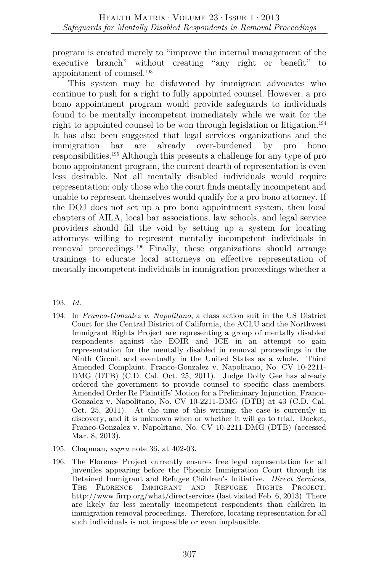program is created merely to "improve the internal management of the executive branch" without creating "any right or benefit" to appointment of counsel.193

This system may be disfavored by immigrant advocates who continue to push for a right to fully appointed counsel. However, a pro bono appointment program would provide safeguards to individuals found to be mentally incompetent immediately while we wait for the right to appointed counsel to be won through legislation or litigation.<sup>194</sup> It has also been suggested that legal services organizations and the immigration bar are already over-burdened by pro bono responsibilities.195 Although this presents a challenge for any type of pro bono appointment program, the current dearth of representation is even less desirable. Not all mentally disabled individuals would require representation; only those who the court finds mentally incompetent and unable to represent themselves would qualify for a pro bono attorney. If the DOJ does not set up a pro bono appointment system, then local chapters of AILA, local bar associations, law schools, and legal service providers should fill the void by setting up a system for locating attorneys willing to represent mentally incompetent individuals in removal proceedings.196 Finally, these organizations should arrange trainings to educate local attorneys on effective representation of mentally incompetent individuals in immigration proceedings whether a

## 193. *Id.*

- 194. In *Franco-Gonzalez v. Napolitano*, a class action suit in the US District Court for the Central District of California, the ACLU and the Northwest Immigrant Rights Project are representing a group of mentally disabled respondents against the EOIR and ICE in an attempt to gain representation for the mentally disabled in removal proceedings in the Ninth Circuit and eventually in the United States as a whole. Third Amended Complaint, Franco-Gonzalez v. Napolitano, No. CV 10-2211- DMG (DTB) (C.D. Cal. Oct. 25, 2011). Judge Dolly Gee has already ordered the government to provide counsel to specific class members. Amended Order Re Plaintiffs' Motion for a Preliminary Injunction, Franco-Gonzalez v. Napolitano, No. CV 10-2211-DMG (DTB) at 43 (C.D. Cal. Oct. 25, 2011). At the time of this writing, the case is currently in discovery, and it is unknown when or whether it will go to trial. Docket, Franco-Gonzalez v. Napolitano, No. CV 10-2211-DMG (DTB) (accessed Mar. 8, 2013).
- 195. Chapman, *supra* note 36, at 402-03.
- 196. The Florence Project currently ensures free legal representation for all juveniles appearing before the Phoenix Immigration Court through its Detained Immigrant and Refugee Children's Initiative. *Direct Services*, The Florence Immigrant and Refugee Rights Project, http://www.firrp.org/what/directservices (last visited Feb. 6, 2013). There are likely far less mentally incompetent respondents than children in immigration removal proceedings. Therefore, locating representation for all such individuals is not impossible or even implausible.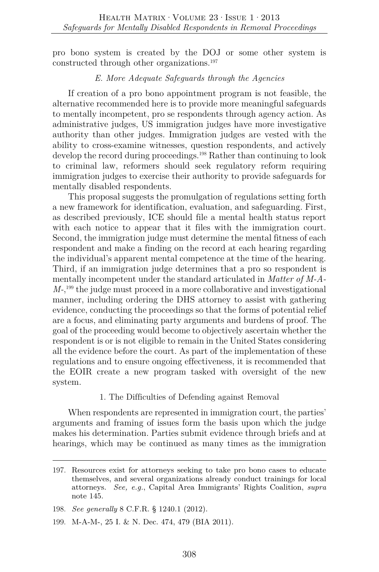pro bono system is created by the DOJ or some other system is constructed through other organizations.197

#### *E. More Adequate Safeguards through the Agencies*

If creation of a pro bono appointment program is not feasible, the alternative recommended here is to provide more meaningful safeguards to mentally incompetent, pro se respondents through agency action. As administrative judges, US immigration judges have more investigative authority than other judges. Immigration judges are vested with the ability to cross-examine witnesses, question respondents, and actively develop the record during proceedings.<sup>198</sup> Rather than continuing to look to criminal law, reformers should seek regulatory reform requiring immigration judges to exercise their authority to provide safeguards for mentally disabled respondents.

This proposal suggests the promulgation of regulations setting forth a new framework for identification, evaluation, and safeguarding. First, as described previously, ICE should file a mental health status report with each notice to appear that it files with the immigration court. Second, the immigration judge must determine the mental fitness of each respondent and make a finding on the record at each hearing regarding the individual's apparent mental competence at the time of the hearing. Third, if an immigration judge determines that a pro so respondent is mentally incompetent under the standard articulated in *Matter of M-A-M-*, 199 the judge must proceed in a more collaborative and investigational manner, including ordering the DHS attorney to assist with gathering evidence, conducting the proceedings so that the forms of potential relief are a focus, and eliminating party arguments and burdens of proof. The goal of the proceeding would become to objectively ascertain whether the respondent is or is not eligible to remain in the United States considering all the evidence before the court. As part of the implementation of these regulations and to ensure ongoing effectiveness, it is recommended that the EOIR create a new program tasked with oversight of the new system.

## 1. The Difficulties of Defending against Removal

When respondents are represented in immigration court, the parties' arguments and framing of issues form the basis upon which the judge makes his determination. Parties submit evidence through briefs and at hearings, which may be continued as many times as the immigration

<sup>197.</sup> Resources exist for attorneys seeking to take pro bono cases to educate themselves, and several organizations already conduct trainings for local attorneys. *See, e.g.*, Capital Area Immigrants' Rights Coalition, *supra* note 145.

<sup>198.</sup> *See generally* 8 C.F.R. § 1240.1 (2012).

<sup>199.</sup> M-A-M-, 25 I. & N. Dec. 474, 479 (BIA 2011).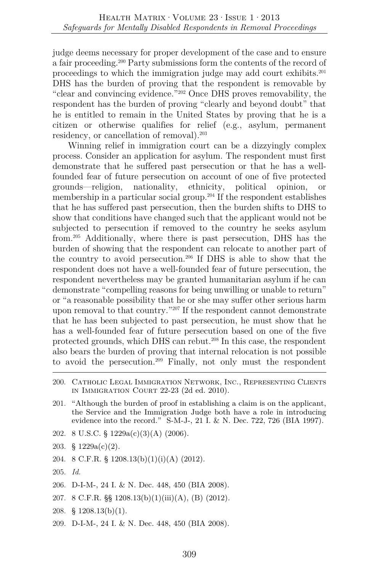judge deems necessary for proper development of the case and to ensure a fair proceeding.200 Party submissions form the contents of the record of proceedings to which the immigration judge may add court exhibits.201 DHS has the burden of proving that the respondent is removable by "clear and convincing evidence."202 Once DHS proves removability, the respondent has the burden of proving "clearly and beyond doubt" that he is entitled to remain in the United States by proving that he is a citizen or otherwise qualifies for relief (e.g., asylum, permanent residency, or cancellation of removal).203

Winning relief in immigration court can be a dizzyingly complex process. Consider an application for asylum. The respondent must first demonstrate that he suffered past persecution or that he has a wellfounded fear of future persecution on account of one of five protected grounds—religion, nationality, ethnicity, political opinion, or membership in a particular social group.<sup>204</sup> If the respondent establishes that he has suffered past persecution, then the burden shifts to DHS to show that conditions have changed such that the applicant would not be subjected to persecution if removed to the country he seeks asylum from.205 Additionally, where there is past persecution, DHS has the burden of showing that the respondent can relocate to another part of the country to avoid persecution.206 If DHS is able to show that the respondent does not have a well-founded fear of future persecution, the respondent nevertheless may be granted humanitarian asylum if he can demonstrate "compelling reasons for being unwilling or unable to return" or "a reasonable possibility that he or she may suffer other serious harm upon removal to that country."207 If the respondent cannot demonstrate that he has been subjected to past persecution, he must show that he has a well-founded fear of future persecution based on one of the five protected grounds, which DHS can rebut.208 In this case, the respondent also bears the burden of proving that internal relocation is not possible to avoid the persecution.209 Finally, not only must the respondent

- 201. "Although the burden of proof in establishing a claim is on the applicant, the Service and the Immigration Judge both have a role in introducing evidence into the record." S-M-J-, 21 I. & N. Dec. 722, 726 (BIA 1997).
- 202. 8 U.S.C. § 1229a(c)(3)(A) (2006).
- 203. § 1229a(c)(2).
- 204. 8 C.F.R. §  $1208.13(b)(1)(i)(A)$  (2012).
- 205. *Id.*
- 206. D-I-M-, 24 I. & N. Dec. 448, 450 (BIA 2008).
- 207. 8 C.F.R.  $\S$  1208.13(b)(1)(iii)(A), (B) (2012).
- 208. § 1208.13(b)(1).
- 209. D-I-M-, 24 I. & N. Dec. 448, 450 (BIA 2008).

<sup>200.</sup> Catholic Legal Immigration Network, Inc., Representing Clients in Immigration Court 22-23 (2d ed. 2010).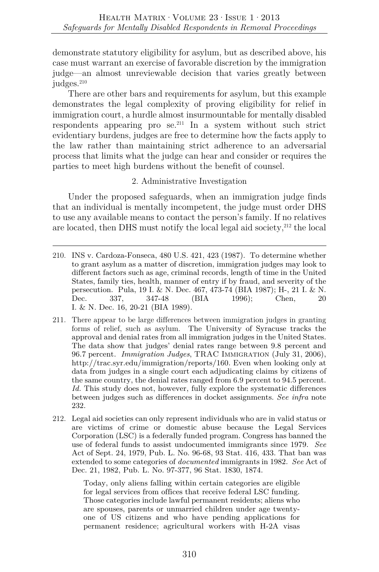demonstrate statutory eligibility for asylum, but as described above, his case must warrant an exercise of favorable discretion by the immigration judge—an almost unreviewable decision that varies greatly between judges.<sup>210</sup>

There are other bars and requirements for asylum, but this example demonstrates the legal complexity of proving eligibility for relief in immigration court, a hurdle almost insurmountable for mentally disabled respondents appearing pro  $se^{211}$  In a system without such strict evidentiary burdens, judges are free to determine how the facts apply to the law rather than maintaining strict adherence to an adversarial process that limits what the judge can hear and consider or requires the parties to meet high burdens without the benefit of counsel.

## 2. Administrative Investigation

Under the proposed safeguards, when an immigration judge finds that an individual is mentally incompetent, the judge must order DHS to use any available means to contact the person's family. If no relatives are located, then DHS must notify the local legal aid society,<sup>212</sup> the local

- 211. There appear to be large differences between immigration judges in granting forms of relief, such as asylum. The University of Syracuse tracks the approval and denial rates from all immigration judges in the United States. The data show that judges' denial rates range between 9.8 percent and 96.7 percent. *Immigration Judges*, TRAC Immigration (July 31, 2006), http://trac.syr.edu/immigration/reports/160. Even when looking only at data from judges in a single court each adjudicating claims by citizens of the same country, the denial rates ranged from 6.9 percent to 94.5 percent. *Id.* This study does not, however, fully explore the systematic differences between judges such as differences in docket assignments. *See infra* note 232.
- 212. Legal aid societies can only represent individuals who are in valid status or are victims of crime or domestic abuse because the Legal Services Corporation (LSC) is a federally funded program. Congress has banned the use of federal funds to assist undocumented immigrants since 1979. *See* Act of Sept. 24, 1979, Pub. L. No. 96-68, 93 Stat. 416, 433. That ban was extended to some categories of *documented* immigrants in 1982. *See* Act of Dec. 21, 1982, Pub. L. No. 97-377, 96 Stat. 1830, 1874.

Today, only aliens falling within certain categories are eligible for legal services from offices that receive federal LSC funding. Those categories include lawful permanent residents; aliens who are spouses, parents or unmarried children under age twentyone of US citizens and who have pending applications for permanent residence; agricultural workers with H-2A visas

<sup>210.</sup> INS v. Cardoza-Fonseca, 480 U.S. 421, 423 (1987). To determine whether to grant asylum as a matter of discretion, immigration judges may look to different factors such as age, criminal records, length of time in the United States, family ties, health, manner of entry if by fraud, and severity of the persecution. Pula, 19 I. & N. Dec. 467, 473-74 (BIA 1987); H-, 21 I. & N. Dec. 337, 347-48 (BIA 1996); Chen, 20 I. & N. Dec. 16, 20-21 (BIA 1989).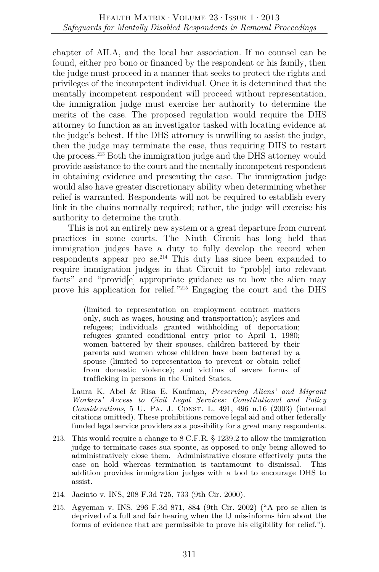chapter of AILA, and the local bar association. If no counsel can be found, either pro bono or financed by the respondent or his family, then the judge must proceed in a manner that seeks to protect the rights and privileges of the incompetent individual. Once it is determined that the mentally incompetent respondent will proceed without representation, the immigration judge must exercise her authority to determine the merits of the case. The proposed regulation would require the DHS attorney to function as an investigator tasked with locating evidence at the judge's behest. If the DHS attorney is unwilling to assist the judge, then the judge may terminate the case, thus requiring DHS to restart the process.213 Both the immigration judge and the DHS attorney would provide assistance to the court and the mentally incompetent respondent in obtaining evidence and presenting the case. The immigration judge would also have greater discretionary ability when determining whether relief is warranted. Respondents will not be required to establish every link in the chains normally required; rather, the judge will exercise his authority to determine the truth.

This is not an entirely new system or a great departure from current practices in some courts. The Ninth Circuit has long held that immigration judges have a duty to fully develop the record when respondents appear pro se.214 This duty has since been expanded to require immigration judges in that Circuit to "prob[e] into relevant facts" and "providel appropriate guidance as to how the alien may prove his application for relief."215 Engaging the court and the DHS

> (limited to representation on employment contract matters only, such as wages, housing and transportation); asylees and refugees; individuals granted withholding of deportation; refugees granted conditional entry prior to April 1, 1980; women battered by their spouses, children battered by their parents and women whose children have been battered by a spouse (limited to representation to prevent or obtain relief from domestic violence); and victims of severe forms of trafficking in persons in the United States.

 Laura K. Abel & Risa E. Kaufman, *Preserving Aliens' and Migrant Workers' Access to Civil Legal Services: Constitutional and Policy Considerations*, 5 U. PA. J. CONST. L. 491, 496 n.16 (2003) (internal citations omitted). These prohibitions remove legal aid and other federally funded legal service providers as a possibility for a great many respondents.

- 213. This would require a change to 8 C.F.R. § 1239.2 to allow the immigration judge to terminate cases sua sponte, as opposed to only being allowed to administratively close them. Administrative closure effectively puts the case on hold whereas termination is tantamount to dismissal. This addition provides immigration judges with a tool to encourage DHS to assist.
- 214. Jacinto v. INS, 208 F.3d 725, 733 (9th Cir. 2000).
- 215. Agyeman v. INS, 296 F.3d 871, 884 (9th Cir. 2002) ("A pro se alien is deprived of a full and fair hearing when the IJ mis-informs him about the forms of evidence that are permissible to prove his eligibility for relief.").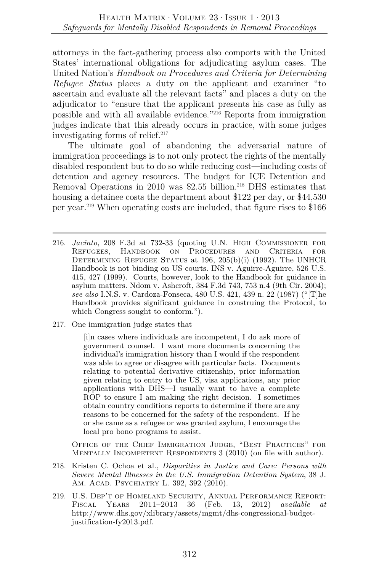attorneys in the fact-gathering process also comports with the United States' international obligations for adjudicating asylum cases. The United Nation's *Handbook on Procedures and Criteria for Determining Refugee Status* places a duty on the applicant and examiner "to ascertain and evaluate all the relevant facts" and places a duty on the adjudicator to "ensure that the applicant presents his case as fully as possible and with all available evidence."216 Reports from immigration judges indicate that this already occurs in practice, with some judges investigating forms of relief. $217$ 

The ultimate goal of abandoning the adversarial nature of immigration proceedings is to not only protect the rights of the mentally disabled respondent but to do so while reducing cost—including costs of detention and agency resources. The budget for ICE Detention and Removal Operations in 2010 was \$2.55 billion.<sup>218</sup> DHS estimates that housing a detainee costs the department about \$122 per day, or \$44,530 per year.219 When operating costs are included, that figure rises to \$166

- 216. *Jacinto*, 208 F.3d at 732-33 (quoting U.N. High Commissioner for Refugees, Handbook on Procedures and Criteria for DETERMINING REFUGEE STATUS at 196, 205(b)(i) (1992). The UNHCR Handbook is not binding on US courts. INS v. Aguirre-Aguirre, 526 U.S. 415, 427 (1999). Courts, however, look to the Handbook for guidance in asylum matters. Ndom v. Ashcroft, 384 F.3d 743, 753 n.4 (9th Cir. 2004); *see also* I.N.S. v. Cardoza-Fonseca, 480 U.S. 421, 439 n. 22 (1987) ("[T]he Handbook provides significant guidance in construing the Protocol, to which Congress sought to conform.").
- 217. One immigration judge states that

[i]n cases where individuals are incompetent, I do ask more of government counsel. I want more documents concerning the individual's immigration history than I would if the respondent was able to agree or disagree with particular facts. Documents relating to potential derivative citizenship, prior information given relating to entry to the US, visa applications, any prior applications with DHS—I usually want to have a complete ROP to ensure I am making the right decision. I sometimes obtain country conditions reports to determine if there are any reasons to be concerned for the safety of the respondent. If he or she came as a refugee or was granted asylum, I encourage the local pro bono programs to assist.

Office of the Chief Immigration Judge, "Best Practices" for MENTALLY INCOMPETENT RESPONDENTS 3 (2010) (on file with author).

- 218. Kristen C. Ochoa et al., *Disparities in Justice and Care: Persons with Severe Mental Illnesses in the U.S. Immigration Detention System*, 38 J. Am. Acad. Psychiatry L. 392, 392 (2010).
- 219. U.S. Dep't of Homeland Security, Annual Performance Report: Fiscal Years 2011–2013 36 (Feb. 13, 2012) *available at* http://www.dhs.gov/xlibrary/assets/mgmt/dhs-congressional-budgetjustification-fy2013.pdf.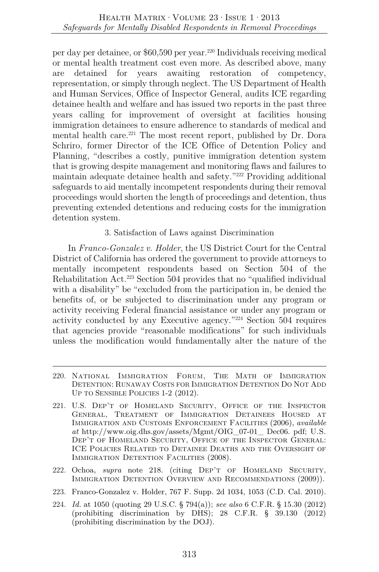per day per detainee, or \$60,590 per year.220 Individuals receiving medical or mental health treatment cost even more. As described above, many are detained for years awaiting restoration of competency, representation, or simply through neglect. The US Department of Health and Human Services, Office of Inspector General, audits ICE regarding detainee health and welfare and has issued two reports in the past three years calling for improvement of oversight at facilities housing immigration detainees to ensure adherence to standards of medical and mental health care.<sup>221</sup> The most recent report, published by Dr. Dora Schriro, former Director of the ICE Office of Detention Policy and Planning, "describes a costly, punitive immigration detention system that is growing despite management and monitoring flaws and failures to maintain adequate detainee health and safety."222 Providing additional safeguards to aid mentally incompetent respondents during their removal proceedings would shorten the length of proceedings and detention, thus preventing extended detentions and reducing costs for the immigration detention system.

## 3. Satisfaction of Laws against Discrimination

In *Franco-Gonzalez v. Holder*, the US District Court for the Central District of California has ordered the government to provide attorneys to mentally incompetent respondents based on Section 504 of the Rehabilitation Act.223 Section 504 provides that no "qualified individual with a disability" be "excluded from the participation in, be denied the benefits of, or be subjected to discrimination under any program or activity receiving Federal financial assistance or under any program or activity conducted by any Executive agency."224 Section 504 requires that agencies provide "reasonable modifications" for such individuals unless the modification would fundamentally alter the nature of the

- 220. National Immigration Forum, THE MATH OF IMMIGRATION DETENTION: RUNAWAY COSTS FOR IMMIGRATION DETENTION DO NOT ADD UP TO SENSIBLE POLICIES 1-2 (2012).
- 221. U.S. Dep't of Homeland Security, Office of the Inspector General, Treatment of Immigration Detainees Housed at Immigration and Customs Enforcement Facilities (2006), *available at* http://www.oig.dhs.gov/assets/Mgmt/OIG\_07-01\_ Dec06. pdf; U.S. Dep't of Homeland Security, Office of the Inspector General: ICE Policies Related to Detainee Deaths and the Oversight of IMMIGRATION DETENTION FACILITIES (2008).
- 222. Ochoa, *supra* note 218. (citing Dep't of Homeland Security, Immigration Detention Overview and Recommendations (2009)).
- 223. Franco-Gonzalez v. Holder, 767 F. Supp. 2d 1034, 1053 (C.D. Cal. 2010).
- 224. *Id.* at 1050 (quoting 29 U.S.C. § 794(a)); *see also* 6 C.F.R. § 15.30 (2012) (prohibiting discrimination by DHS); 28 C.F.R. § 39.130 (2012) (prohibiting discrimination by the DOJ).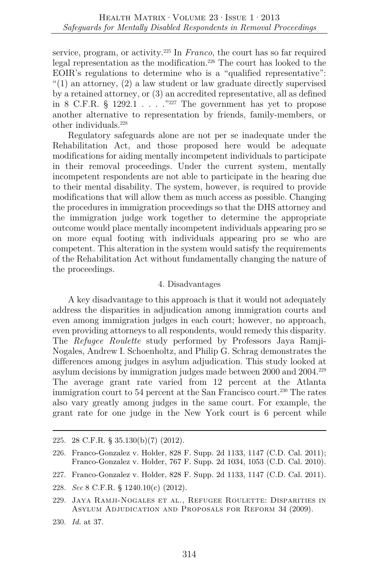service, program, or activity.225 In *Franco*, the court has so far required legal representation as the modification.226 The court has looked to the EOIR's regulations to determine who is a "qualified representative": "(1) an attorney,  $(2)$  a law student or law graduate directly supervised by a retained attorney, or (3) an accredited representative, all as defined in 8 C.F.R. § 1292.1 . . . ."227 The government has yet to propose another alternative to representation by friends, family-members, or other individuals.228

Regulatory safeguards alone are not per se inadequate under the Rehabilitation Act, and those proposed here would be adequate modifications for aiding mentally incompetent individuals to participate in their removal proceedings. Under the current system, mentally incompetent respondents are not able to participate in the hearing due to their mental disability. The system, however, is required to provide modifications that will allow them as much access as possible. Changing the procedures in immigration proceedings so that the DHS attorney and the immigration judge work together to determine the appropriate outcome would place mentally incompetent individuals appearing pro se on more equal footing with individuals appearing pro se who are competent. This alteration in the system would satisfy the requirements of the Rehabilitation Act without fundamentally changing the nature of the proceedings.

#### 4. Disadvantages

A key disadvantage to this approach is that it would not adequately address the disparities in adjudication among immigration courts and even among immigration judges in each court; however, no approach, even providing attorneys to all respondents, would remedy this disparity. The *Refugee Roulette* study performed by Professors Jaya Ramji-Nogales, Andrew I. Schoenholtz, and Philip G. Schrag demonstrates the differences among judges in asylum adjudication. This study looked at asylum decisions by immigration judges made between 2000 and 2004.229 The average grant rate varied from 12 percent at the Atlanta immigration court to 54 percent at the San Francisco court.<sup>230</sup> The rates also vary greatly among judges in the same court. For example, the grant rate for one judge in the New York court is 6 percent while

<sup>225.</sup> 28 C.F.R. § 35.130(b)(7) (2012).

<sup>226.</sup> Franco-Gonzalez v. Holder, 828 F. Supp. 2d 1133, 1147 (C.D. Cal. 2011); Franco-Gonzalez v. Holder, 767 F. Supp. 2d 1034, 1053 (C.D. Cal. 2010).

<sup>227.</sup> Franco-Gonzalez v. Holder, 828 F. Supp. 2d 1133, 1147 (C.D. Cal. 2011).

<sup>228.</sup> *See* 8 C.F.R. § 1240.10(c) (2012).

<sup>229.</sup> Jaya Ramji-Nogales et al., Refugee Roulette: Disparities in Asylum Adjudication and Proposals for Reform 34 (2009).

<sup>230.</sup> *Id.* at 37.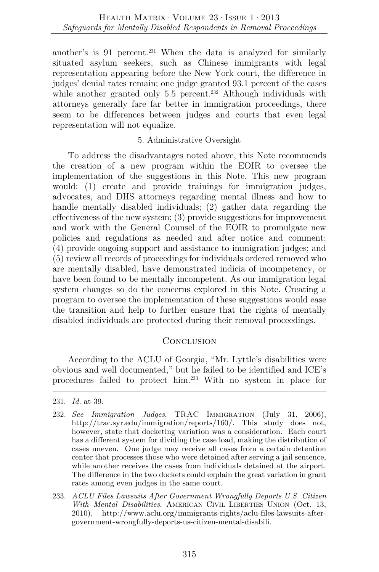another's is 91 percent.<sup>231</sup> When the data is analyzed for similarly situated asylum seekers, such as Chinese immigrants with legal representation appearing before the New York court, the difference in judges' denial rates remain; one judge granted 93.1 percent of the cases while another granted only  $5.5$  percent.<sup>232</sup> Although individuals with attorneys generally fare far better in immigration proceedings, there seem to be differences between judges and courts that even legal representation will not equalize.

## 5. Administrative Oversight

To address the disadvantages noted above, this Note recommends the creation of a new program within the EOIR to oversee the implementation of the suggestions in this Note. This new program would: (1) create and provide trainings for immigration judges, advocates, and DHS attorneys regarding mental illness and how to handle mentally disabled individuals; (2) gather data regarding the effectiveness of the new system; (3) provide suggestions for improvement and work with the General Counsel of the EOIR to promulgate new policies and regulations as needed and after notice and comment; (4) provide ongoing support and assistance to immigration judges; and (5) review all records of proceedings for individuals ordered removed who are mentally disabled, have demonstrated indicia of incompetency, or have been found to be mentally incompetent. As our immigration legal system changes so do the concerns explored in this Note. Creating a program to oversee the implementation of these suggestions would ease the transition and help to further ensure that the rights of mentally disabled individuals are protected during their removal proceedings.

## **CONCLUSION**

According to the ACLU of Georgia, "Mr. Lyttle's disabilities were obvious and well documented," but he failed to be identified and ICE's procedures failed to protect him.233 With no system in place for

233. *ACLU Files Lawsuits After Government Wrongfully Deports U.S. Citizen With Mental Disabilities*, AMERICAN CIVIL LIBERTIES UNION (Oct. 13, 2010), http://www.aclu.org/immigrants-rights/aclu-files-lawsuits-aftergovernment-wrongfully-deports-us-citizen-mental-disabili.

<sup>231.</sup> *Id.* at 39.

<sup>232.</sup> *See Immigration Judges*, TRAC Immigration (July 31, 2006), http://trac.syr.edu/immigration/reports/160/. This study does not, however, state that docketing variation was a consideration. Each court has a different system for dividing the case load, making the distribution of cases uneven. One judge may receive all cases from a certain detention center that processes those who were detained after serving a jail sentence, while another receives the cases from individuals detained at the airport. The difference in the two dockets could explain the great variation in grant rates among even judges in the same court.